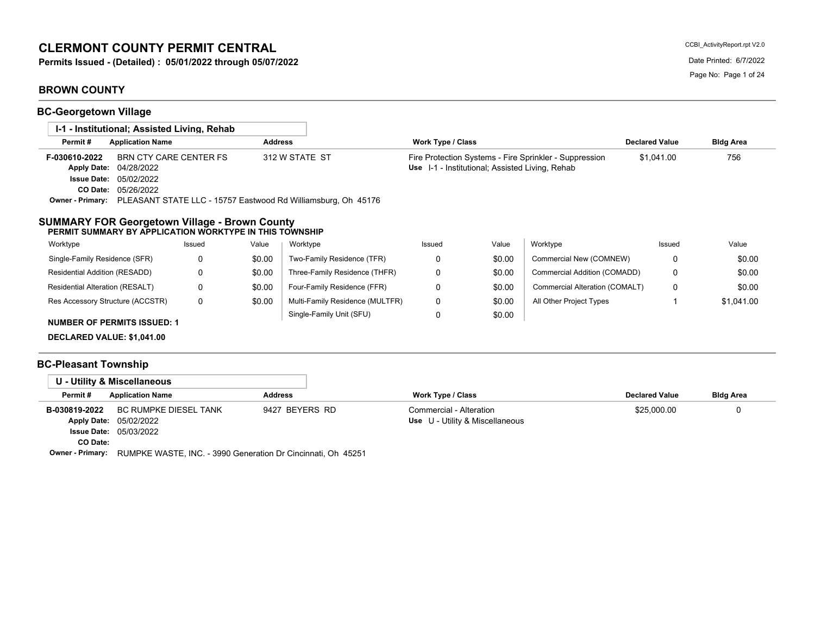# **CLERMONT COUNTY PERMIT CENTRAL**

**Permits Issued - (Detailed) : 05/01/2022 through 05/07/2022** Date Printed: 6/7/2022

# **BROWN COUNTY**

**BC-Georgetown Village**

| 1-1 - Institutional: Assisted Living, Rehab                                                                                                                                 |          |                |                                                                                 |                          |                                                 |                                                        |                       |                  |
|-----------------------------------------------------------------------------------------------------------------------------------------------------------------------------|----------|----------------|---------------------------------------------------------------------------------|--------------------------|-------------------------------------------------|--------------------------------------------------------|-----------------------|------------------|
| Permit#<br><b>Application Name</b>                                                                                                                                          |          | <b>Address</b> |                                                                                 | <b>Work Type / Class</b> |                                                 |                                                        | <b>Declared Value</b> | <b>Bldg Area</b> |
| <b>BRN CTY CARE CENTER FS</b><br>F-030610-2022<br><b>Apply Date:</b><br>04/28/2022<br>05/02/2022<br><b>Issue Date:</b><br>CO Date:<br>05/26/2022<br><b>Owner - Primary:</b> |          |                | 312 W STATE ST<br>PLEASANT STATE LLC - 15757 Eastwood Rd Williamsburg, Oh 45176 |                          | Use I-1 - Institutional; Assisted Living, Rehab | Fire Protection Systems - Fire Sprinkler - Suppression | \$1,041.00            | 756              |
| <b>SUMMARY FOR Georgetown Village - Brown County</b><br>PERMIT SUMMARY BY APPLICATION WORKTYPE IN THIS TOWNSHIP                                                             |          |                |                                                                                 |                          |                                                 |                                                        |                       |                  |
| Worktype                                                                                                                                                                    | Issued   | Value          | Worktype                                                                        | Issued                   | Value                                           | Worktype                                               | Issued                | Value            |
| Single-Family Residence (SFR)                                                                                                                                               | 0        | \$0.00         | Two-Family Residence (TFR)                                                      | 0                        | \$0.00                                          | Commercial New (COMNEW)                                | 0                     | \$0.00           |
| Residential Addition (RESADD)                                                                                                                                               | 0        | \$0.00         | Three-Family Residence (THFR)                                                   | 0                        | \$0.00                                          | Commercial Addition (COMADD)                           | 0                     | \$0.00           |
| Residential Alteration (RESALT)                                                                                                                                             | $\Omega$ | \$0.00         | Four-Family Residence (FFR)                                                     | $\Omega$                 | \$0.00                                          | Commercial Alteration (COMALT)                         | 0                     | \$0.00           |
| Res Accessory Structure (ACCSTR)                                                                                                                                            | 0        | \$0.00         | Multi-Family Residence (MULTFR)                                                 | 0                        | \$0.00                                          | All Other Project Types                                |                       | \$1,041.00       |
| <b>NUMBER OF PERMITS ISSUED: 1</b>                                                                                                                                          |          |                | Single-Family Unit (SFU)                                                        | $\Omega$                 | \$0.00                                          |                                                        |                       |                  |

**DECLARED VALUE: \$1,041.00**

# **BC-Pleasant Township**

|                           | U - Utility & Miscellaneous                                                      |                |                                                            |                       |                  |
|---------------------------|----------------------------------------------------------------------------------|----------------|------------------------------------------------------------|-----------------------|------------------|
| Permit#                   | <b>Application Name</b>                                                          | <b>Address</b> | Work Type / Class                                          | <b>Declared Value</b> | <b>Bldg Area</b> |
| B-030819-2022<br>CO Date: | BC RUMPKE DIESEL TANK<br>Apply Date: 05/02/2022<br><b>Issue Date: 05/03/2022</b> | 9427 BEYERS RD | Commercial - Alteration<br>Use U - Utility & Miscellaneous | \$25,000.00           |                  |

**Owner - Primary:** RUMPKE WASTE, INC. - 3990 Generation Dr Cincinnati, Oh 45251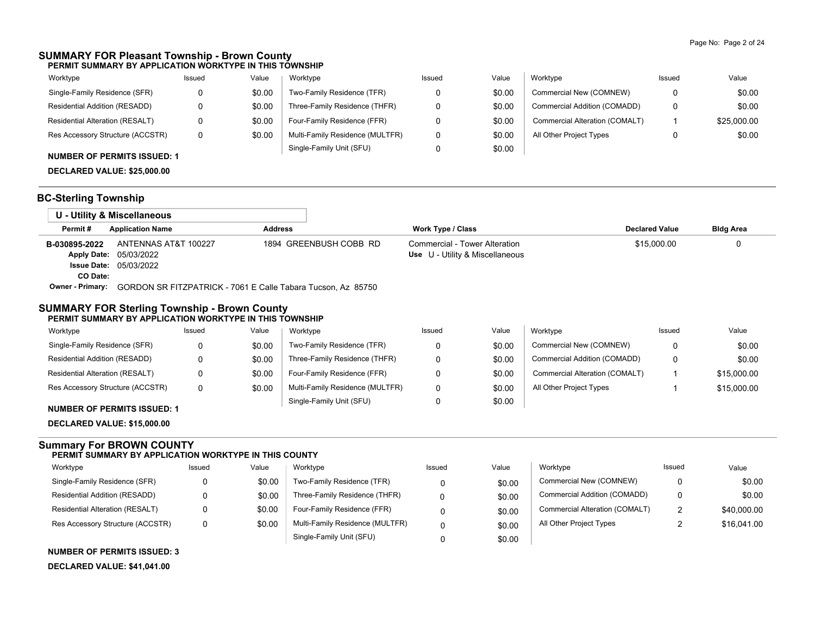### **SUMMARY FOR Pleasant Township - Brown County PERMIT SUMMARY BY APPLICATION WORKTYPE IN THIS TOWNSHIP**

| Worktype                               | Issued | Value  | Worktype                        | Issued | Value  | Worktype                       | Issued | Value       |
|----------------------------------------|--------|--------|---------------------------------|--------|--------|--------------------------------|--------|-------------|
| Single-Family Residence (SFR)          | 0      | \$0.00 | Two-Family Residence (TFR)      |        | \$0.00 | Commercial New (COMNEW)        | 0      | \$0.00      |
| Residential Addition (RESADD)          |        | \$0.00 | Three-Family Residence (THFR)   |        | \$0.00 | Commercial Addition (COMADD)   | 0      | \$0.00      |
| <b>Residential Alteration (RESALT)</b> |        | \$0.00 | Four-Family Residence (FFR)     |        | \$0.00 | Commercial Alteration (COMALT) |        | \$25,000.00 |
| Res Accessory Structure (ACCSTR)       | 0      | \$0.00 | Multi-Family Residence (MULTFR) |        | \$0.00 | All Other Project Types        |        | \$0.00      |
| <b>NUMBER OF PERMITS ISSUED: 1</b>     |        |        | Single-Family Unit (SFU)        |        | \$0.00 |                                |        |             |

# **DECLARED VALUE: \$25,000.00**

## **BC-Sterling Township**

|                         | U - Utility & Miscellaneous                                  |                        |                                 |                       |                  |
|-------------------------|--------------------------------------------------------------|------------------------|---------------------------------|-----------------------|------------------|
| Permit#                 | <b>Application Name</b>                                      | <b>Address</b>         | Work Type / Class               | <b>Declared Value</b> | <b>Bldg Area</b> |
| B-030895-2022           | ANTENNAS AT&T 100227                                         | 1894 GREENBUSH COBB RD | Commercial - Tower Alteration   | \$15,000.00           |                  |
|                         | <b>Apply Date: 05/03/2022</b>                                |                        | Use U - Utility & Miscellaneous |                       |                  |
|                         | <b>Issue Date: 05/03/2022</b>                                |                        |                                 |                       |                  |
| CO Date:                |                                                              |                        |                                 |                       |                  |
| <b>Owner - Primary:</b> | GORDON SR FITZPATRICK - 7061 E Calle Tabara Tucson, Az 85750 |                        |                                 |                       |                  |

### **SUMMARY FOR Sterling Township - Brown County PERMIT SUMMARY BY APPLICATION WORKTYPE IN THIS TOWNSHIP**

| Worktype                               | Issued | Value  | Worktype                        | Issued | Value  | Worktvpe                       | Issued | Value       |
|----------------------------------------|--------|--------|---------------------------------|--------|--------|--------------------------------|--------|-------------|
| Single-Family Residence (SFR)          | 0      | \$0.00 | Two-Family Residence (TFR)      |        | \$0.00 | Commercial New (COMNEW)        |        | \$0.00      |
| Residential Addition (RESADD)          | 0      | \$0.00 | Three-Family Residence (THFR)   |        | \$0.00 | Commercial Addition (COMADD)   |        | \$0.00      |
| <b>Residential Alteration (RESALT)</b> | 0      | \$0.00 | Four-Family Residence (FFR)     |        | \$0.00 | Commercial Alteration (COMALT) |        | \$15,000.00 |
| Res Accessory Structure (ACCSTR)       | 0      | \$0.00 | Multi-Family Residence (MULTFR) |        | \$0.00 | All Other Project Types        |        | \$15,000.00 |
|                                        |        |        | Single-Family Unit (SFU)        |        | \$0.00 |                                |        |             |

## **NUMBER OF PERMITS ISSUED: 1**

**DECLARED VALUE: \$15,000.00**

#### **Summary For BROWN COUNTY PERMIT SUMMARY BY APPLICATION WORKTYPE IN THIS COUNTY**

| Worktype                         | Issued | Value  | Worktype                        | Issued | Value  | Worktype                       | Issued | Value       |
|----------------------------------|--------|--------|---------------------------------|--------|--------|--------------------------------|--------|-------------|
| Single-Family Residence (SFR)    |        | \$0.00 | Two-Family Residence (TFR)      |        | \$0.00 | Commercial New (COMNEW)        |        | \$0.00      |
| Residential Addition (RESADD)    |        | \$0.00 | Three-Family Residence (THFR)   |        | \$0.00 | Commercial Addition (COMADD)   |        | \$0.00      |
| Residential Alteration (RESALT)  |        | \$0.00 | Four-Family Residence (FFR)     |        | \$0.00 | Commercial Alteration (COMALT) |        | \$40,000.00 |
| Res Accessory Structure (ACCSTR) |        | \$0.00 | Multi-Family Residence (MULTFR) |        | \$0.00 | All Other Project Types        |        | \$16,041.00 |
|                                  |        |        | Single-Family Unit (SFU)        |        | \$0.00 |                                |        |             |

**NUMBER OF PERMITS ISSUED: 3**

**DECLARED VALUE: \$41,041.00**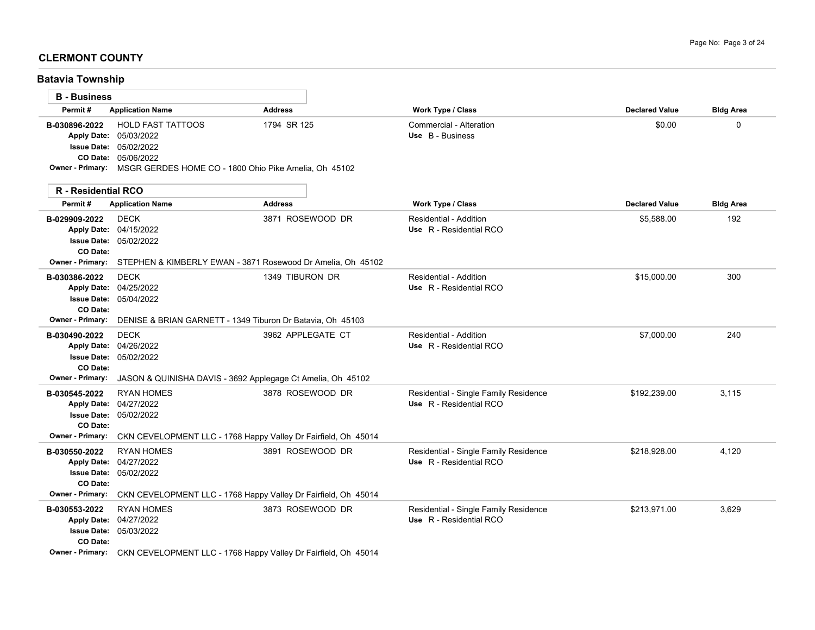## **CLERMONT COUNTY**

**Batavia Township**

| <b>B</b> - Business                             |                                                                                                            |                                                                                       |                                                                  |                       |                  |
|-------------------------------------------------|------------------------------------------------------------------------------------------------------------|---------------------------------------------------------------------------------------|------------------------------------------------------------------|-----------------------|------------------|
| Permit#                                         | <b>Application Name</b>                                                                                    | <b>Address</b>                                                                        | <b>Work Type / Class</b>                                         | <b>Declared Value</b> | <b>Bldg Area</b> |
| B-030896-2022                                   | <b>HOLD FAST TATTOOS</b><br>Apply Date: 05/03/2022<br><b>Issue Date: 05/02/2022</b><br>CO Date: 05/06/2022 | 1794 SR 125<br>Owner - Primary: MSGR GERDES HOME CO - 1800 Ohio Pike Amelia, Oh 45102 | Commercial - Alteration<br>Use B - Business                      | \$0.00                | $\Omega$         |
| R - Residential RCO                             |                                                                                                            |                                                                                       |                                                                  |                       |                  |
| Permit#                                         | <b>Application Name</b>                                                                                    | <b>Address</b>                                                                        | Work Type / Class                                                | <b>Declared Value</b> | <b>Bldg Area</b> |
| B-029909-2022<br>CO Date:                       | <b>DECK</b><br>Apply Date: 04/15/2022<br>Issue Date: 05/02/2022                                            | 3871 ROSEWOOD DR                                                                      | Residential - Addition<br>Use R - Residential RCO                | \$5,588.00            | 192              |
| <b>Owner - Primary:</b>                         |                                                                                                            | STEPHEN & KIMBERLY EWAN - 3871 Rosewood Dr Amelia, Oh 45102                           |                                                                  |                       |                  |
| B-030386-2022<br>CO Date:                       | <b>DECK</b><br>Apply Date: 04/25/2022<br><b>Issue Date: 05/04/2022</b>                                     | 1349 TIBURON DR                                                                       | Residential - Addition<br>Use R - Residential RCO                | \$15,000.00           | 300              |
| <b>Owner - Primary:</b>                         |                                                                                                            | DENISE & BRIAN GARNETT - 1349 Tiburon Dr Batavia, Oh 45103                            |                                                                  |                       |                  |
| B-030490-2022<br>CO Date:                       | <b>DECK</b><br>Apply Date: 04/26/2022<br><b>Issue Date: 05/02/2022</b>                                     | 3962 APPLEGATE CT                                                                     | Residential - Addition<br>Use R - Residential RCO                | \$7,000.00            | 240              |
| <b>Owner - Primary:</b>                         |                                                                                                            | JASON & QUINISHA DAVIS - 3692 Applegage Ct Amelia, Oh 45102                           |                                                                  |                       |                  |
| B-030545-2022<br><b>Apply Date:</b><br>CO Date: | <b>RYAN HOMES</b><br>04/27/2022<br><b>Issue Date: 05/02/2022</b>                                           | 3878 ROSEWOOD DR                                                                      | Residential - Single Family Residence<br>Use R - Residential RCO | \$192.239.00          | 3.115            |
| <b>Owner - Primary:</b>                         |                                                                                                            | CKN CEVELOPMENT LLC - 1768 Happy Valley Dr Fairfield, Oh 45014                        |                                                                  |                       |                  |
| B-030550-2022<br>CO Date:                       | <b>RYAN HOMES</b><br>Apply Date: 04/27/2022<br><b>Issue Date: 05/02/2022</b>                               | 3891 ROSEWOOD DR                                                                      | Residential - Single Family Residence<br>Use R - Residential RCO | \$218,928.00          | 4,120            |
| <b>Owner - Primary:</b>                         |                                                                                                            | CKN CEVELOPMENT LLC - 1768 Happy Valley Dr Fairfield, Oh 45014                        |                                                                  |                       |                  |
| B-030553-2022<br>CO Date:                       | <b>RYAN HOMES</b><br>Apply Date: 04/27/2022<br><b>Issue Date: 05/03/2022</b>                               | 3873 ROSEWOOD DR                                                                      | Residential - Single Family Residence<br>Use R - Residential RCO | \$213,971.00          | 3,629            |
|                                                 |                                                                                                            | Owner - Primary: CKN CEVELOPMENT LLC - 1768 Happy Valley Dr Fairfield, Oh 45014       |                                                                  |                       |                  |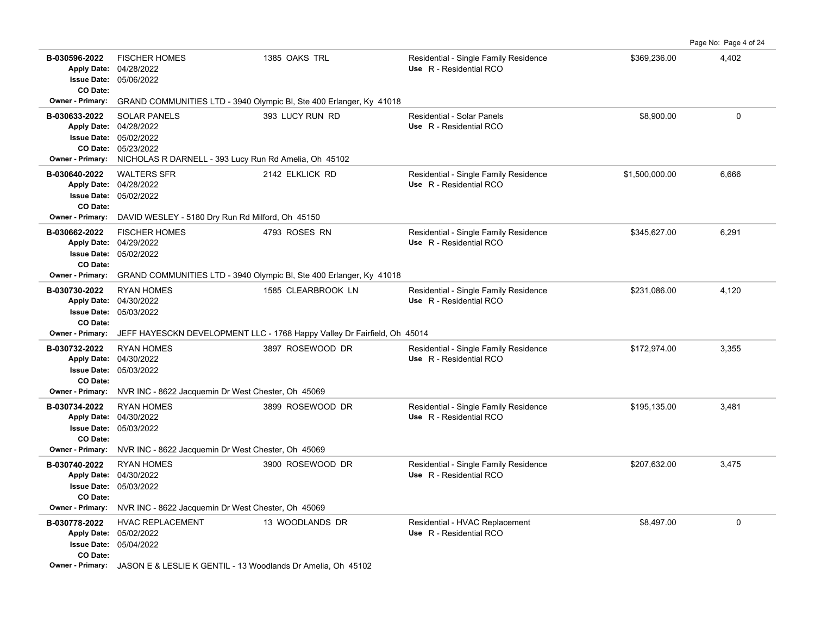|                                                                            |                                                                                                                                                         |                                                                                      |                                                                  |                | Page No: Page 4 of 24 |
|----------------------------------------------------------------------------|---------------------------------------------------------------------------------------------------------------------------------------------------------|--------------------------------------------------------------------------------------|------------------------------------------------------------------|----------------|-----------------------|
| B-030596-2022<br><b>Issue Date:</b><br>CO Date:                            | <b>FISCHER HOMES</b><br>Apply Date: 04/28/2022<br>05/06/2022                                                                                            | 1385 OAKS TRL                                                                        | Residential - Single Family Residence<br>Use R - Residential RCO | \$369,236.00   | 4,402                 |
| <b>Owner - Primary:</b>                                                    |                                                                                                                                                         | GRAND COMMUNITIES LTD - 3940 Olympic BI, Ste 400 Erlanger, Ky 41018                  |                                                                  |                |                       |
| B-030633-2022<br><b>Owner - Primary:</b>                                   | <b>SOLAR PANELS</b><br>Apply Date: 04/28/2022<br>Issue Date: 05/02/2022<br>CO Date: 05/23/2022<br>NICHOLAS R DARNELL - 393 Lucy Run Rd Amelia, Oh 45102 | 393 LUCY RUN RD                                                                      | Residential - Solar Panels<br>Use R - Residential RCO            | \$8,900.00     | $\mathbf 0$           |
| B-030640-2022<br>CO Date:<br><b>Owner - Primary:</b>                       | <b>WALTERS SFR</b><br>Apply Date: 04/28/2022<br><b>Issue Date: 05/02/2022</b><br>DAVID WESLEY - 5180 Dry Run Rd Milford, Oh 45150                       | 2142 ELKLICK RD                                                                      | Residential - Single Family Residence<br>Use R - Residential RCO | \$1,500,000.00 | 6,666                 |
| B-030662-2022<br>CO Date:<br>Owner - Primary:                              | <b>FISCHER HOMES</b><br>Apply Date: 04/29/2022<br>Issue Date: 05/02/2022                                                                                | 4793 ROSES RN<br>GRAND COMMUNITIES LTD - 3940 Olympic BI, Ste 400 Erlanger, Ky 41018 | Residential - Single Family Residence<br>Use R - Residential RCO | \$345,627.00   | 6,291                 |
| B-030730-2022<br><b>Apply Date:</b><br>CO Date:                            | <b>RYAN HOMES</b><br>04/30/2022<br><b>Issue Date: 05/03/2022</b>                                                                                        | 1585 CLEARBROOK LN                                                                   | Residential - Single Family Residence<br>Use R - Residential RCO | \$231,086.00   | 4,120                 |
| <b>Owner - Primary:</b>                                                    |                                                                                                                                                         | JEFF HAYESCKN DEVELOPMENT LLC - 1768 Happy Valley Dr Fairfield, Oh 45014             |                                                                  |                |                       |
| B-030732-2022<br><b>Issue Date:</b><br>CO Date:                            | <b>RYAN HOMES</b><br>Apply Date: 04/30/2022<br>05/03/2022                                                                                               | 3897 ROSEWOOD DR                                                                     | Residential - Single Family Residence<br>Use R - Residential RCO | \$172,974.00   | 3,355                 |
| Owner - Primary:                                                           | NVR INC - 8622 Jacquemin Dr West Chester, Oh 45069                                                                                                      |                                                                                      |                                                                  |                |                       |
| B-030734-2022<br>CO Date:                                                  | <b>RYAN HOMES</b><br>Apply Date: 04/30/2022<br><b>Issue Date: 05/03/2022</b>                                                                            | 3899 ROSEWOOD DR                                                                     | Residential - Single Family Residence<br>Use R - Residential RCO | \$195,135.00   | 3,481                 |
| <b>Owner - Primary:</b>                                                    | NVR INC - 8622 Jacquemin Dr West Chester, Oh 45069                                                                                                      |                                                                                      |                                                                  |                |                       |
| B-030740-2022<br><b>Issue Date:</b><br>CO Date:<br><b>Owner - Primary:</b> | <b>RYAN HOMES</b><br>Apply Date: 04/30/2022<br>05/03/2022<br>NVR INC - 8622 Jacquemin Dr West Chester, Oh 45069                                         | 3900 ROSEWOOD DR                                                                     | Residential - Single Family Residence<br>Use R - Residential RCO | \$207,632.00   | 3,475                 |
| B-030778-2022<br>CO Date:<br><b>Owner - Primary:</b>                       | <b>HVAC REPLACEMENT</b><br>Apply Date: 05/02/2022<br><b>Issue Date: 05/04/2022</b><br>JASON E & LESLIE K GENTIL - 13 Woodlands Dr Amelia, Oh 45102      | 13 WOODLANDS DR                                                                      | Residential - HVAC Replacement<br>Use R - Residential RCO        | \$8,497.00     | 0                     |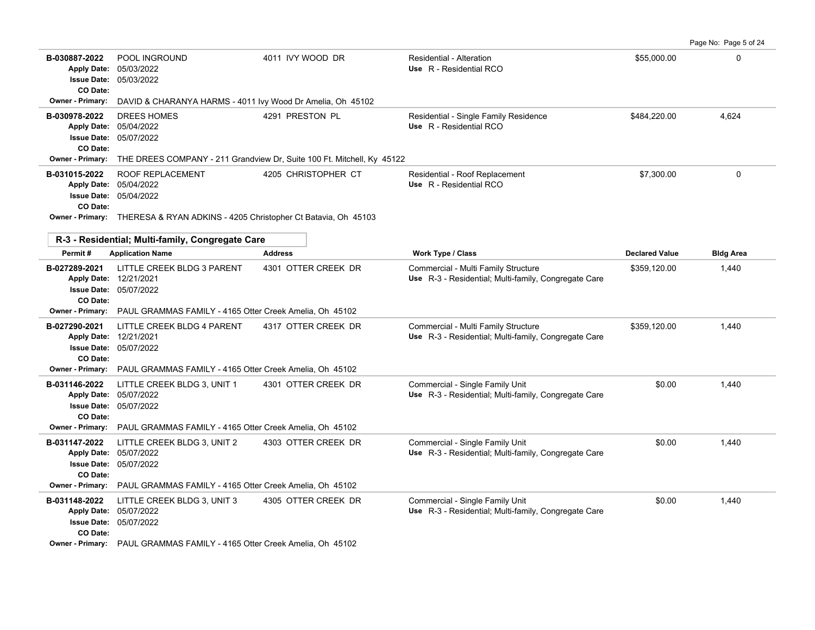Page No: Page 5 of 24

| B-030887-2022<br><b>Apply Date:</b><br><b>CO Date:</b> | POOL INGROUND<br>05/03/2022<br>Issue Date: 05/03/2022                                                                                                         | 4011 IVY WOOD DR                                                       | <b>Residential - Alteration</b><br>Use R - Residential RCO                                  | \$55,000.00           | $\Omega$         |  |  |
|--------------------------------------------------------|---------------------------------------------------------------------------------------------------------------------------------------------------------------|------------------------------------------------------------------------|---------------------------------------------------------------------------------------------|-----------------------|------------------|--|--|
| Owner - Primary:                                       | DAVID & CHARANYA HARMS - 4011 Ivy Wood Dr Amelia, Oh 45102                                                                                                    |                                                                        |                                                                                             |                       |                  |  |  |
| B-030978-2022<br>CO Date:                              | DREES HOMES<br>Apply Date: 05/04/2022<br>Issue Date: 05/07/2022                                                                                               | 4291 PRESTON PL                                                        | Residential - Single Family Residence<br>Use R - Residential RCO                            | \$484,220.00          | 4,624            |  |  |
| Owner - Primary:                                       |                                                                                                                                                               | THE DREES COMPANY - 211 Grandview Dr, Suite 100 Ft. Mitchell, Ky 45122 |                                                                                             |                       |                  |  |  |
| B-031015-2022<br>CO Date:                              | <b>ROOF REPLACEMENT</b><br>Apply Date: 05/04/2022<br>Issue Date: 05/04/2022<br>Owner - Primary: THERESA & RYAN ADKINS - 4205 Christopher Ct Batavia, Oh 45103 | 4205 CHRISTOPHER CT                                                    | Residential - Roof Replacement<br>Use R - Residential RCO                                   | \$7,300.00            | $\Omega$         |  |  |
|                                                        |                                                                                                                                                               |                                                                        |                                                                                             |                       |                  |  |  |
|                                                        | R-3 - Residential; Multi-family, Congregate Care                                                                                                              |                                                                        |                                                                                             |                       |                  |  |  |
| Permit#                                                | <b>Application Name</b>                                                                                                                                       | <b>Address</b>                                                         | <b>Work Type / Class</b>                                                                    | <b>Declared Value</b> | <b>Bldg Area</b> |  |  |
| B-027289-2021<br>CO Date:                              | LITTLE CREEK BLDG 3 PARENT<br>Apply Date: 12/21/2021<br><b>Issue Date: 05/07/2022</b>                                                                         | 4301 OTTER CREEK DR                                                    | Commercial - Multi Family Structure<br>Use R-3 - Residential; Multi-family, Congregate Care | \$359,120.00          | 1,440            |  |  |
| Owner - Primary:                                       | PAUL GRAMMAS FAMILY - 4165 Otter Creek Amelia, Oh 45102                                                                                                       |                                                                        |                                                                                             |                       |                  |  |  |
| B-027290-2021<br>CO Date:                              | LITTLE CREEK BLDG 4 PARENT<br>Apply Date: 12/21/2021<br>Issue Date: 05/07/2022                                                                                | 4317 OTTER CREEK DR                                                    | Commercial - Multi Family Structure<br>Use R-3 - Residential: Multi-family, Congregate Care | \$359,120.00          | 1,440            |  |  |
| <b>Owner - Primary:</b>                                | PAUL GRAMMAS FAMILY - 4165 Otter Creek Amelia, Oh 45102                                                                                                       |                                                                        |                                                                                             |                       |                  |  |  |
| B-031146-2022<br>CO Date:<br><b>Owner - Primary:</b>   | LITTLE CREEK BLDG 3, UNIT 1<br>Apply Date: 05/07/2022<br>Issue Date: 05/07/2022<br>PAUL GRAMMAS FAMILY - 4165 Otter Creek Amelia, Oh 45102                    | 4301 OTTER CREEK DR                                                    | Commercial - Single Family Unit<br>Use R-3 - Residential; Multi-family, Congregate Care     | \$0.00                | 1,440            |  |  |
| B-031147-2022<br>CO Date:                              | LITTLE CREEK BLDG 3, UNIT 2<br>Apply Date: 05/07/2022<br>Issue Date: 05/07/2022                                                                               | 4303 OTTER CREEK DR                                                    | Commercial - Single Family Unit<br>Use R-3 - Residential; Multi-family, Congregate Care     | \$0.00                | 1,440            |  |  |
| <b>Owner - Primary:</b>                                | PAUL GRAMMAS FAMILY - 4165 Otter Creek Amelia, Oh 45102                                                                                                       |                                                                        |                                                                                             |                       |                  |  |  |
| B-031148-2022<br>CO Date:                              | LITTLE CREEK BLDG 3, UNIT 3<br>Apply Date: 05/07/2022<br><b>Issue Date: 05/07/2022</b>                                                                        | 4305 OTTER CREEK DR                                                    | Commercial - Single Family Unit<br>Use R-3 - Residential; Multi-family, Congregate Care     | \$0.00                | 1,440            |  |  |
|                                                        | Owner - Primary: PAUL GRAMMAS FAMILY - 4165 Otter Creek Amelia, Oh 45102                                                                                      |                                                                        |                                                                                             |                       |                  |  |  |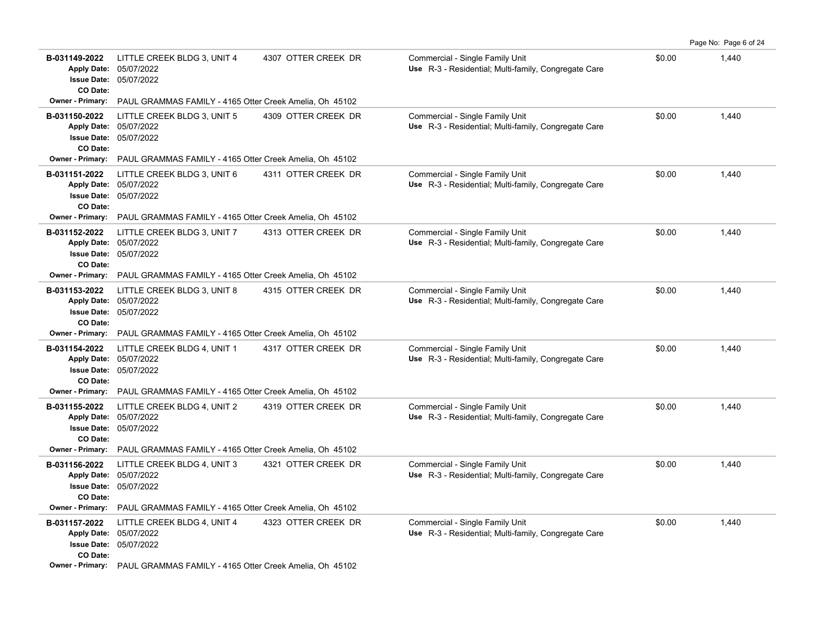|                                                                       |                                                                                                                                                   |                     |                                                                                         |        | Page No: Page 6 of 24 |
|-----------------------------------------------------------------------|---------------------------------------------------------------------------------------------------------------------------------------------------|---------------------|-----------------------------------------------------------------------------------------|--------|-----------------------|
| B-031149-2022<br><b>Apply Date:</b><br><b>Issue Date:</b><br>CO Date: | LITTLE CREEK BLDG 3, UNIT 4<br>05/07/2022<br>05/07/2022                                                                                           | 4307 OTTER CREEK DR | Commercial - Single Family Unit<br>Use R-3 - Residential; Multi-family, Congregate Care | \$0.00 | 1,440                 |
| Owner - Primary:                                                      | PAUL GRAMMAS FAMILY - 4165 Otter Creek Amelia, Oh 45102                                                                                           |                     |                                                                                         |        |                       |
| B-031150-2022<br>CO Date:                                             | LITTLE CREEK BLDG 3, UNIT 5<br>Apply Date: 05/07/2022<br><b>Issue Date: 05/07/2022</b>                                                            | 4309 OTTER CREEK DR | Commercial - Single Family Unit<br>Use R-3 - Residential; Multi-family, Congregate Care | \$0.00 | 1,440                 |
| Owner - Primary:                                                      | PAUL GRAMMAS FAMILY - 4165 Otter Creek Amelia, Oh 45102                                                                                           |                     |                                                                                         |        |                       |
| B-031151-2022<br>CO Date:                                             | LITTLE CREEK BLDG 3, UNIT 6<br>Apply Date: 05/07/2022<br><b>Issue Date: 05/07/2022</b>                                                            | 4311 OTTER CREEK DR | Commercial - Single Family Unit<br>Use R-3 - Residential; Multi-family, Congregate Care | \$0.00 | 1,440                 |
| <b>Owner - Primary:</b>                                               | PAUL GRAMMAS FAMILY - 4165 Otter Creek Amelia, Oh 45102                                                                                           |                     |                                                                                         |        |                       |
| B-031152-2022<br>CO Date:                                             | LITTLE CREEK BLDG 3, UNIT 7<br>Apply Date: 05/07/2022<br><b>Issue Date: 05/07/2022</b>                                                            | 4313 OTTER CREEK DR | Commercial - Single Family Unit<br>Use R-3 - Residential; Multi-family, Congregate Care | \$0.00 | 1,440                 |
| <b>Owner - Primary:</b>                                               | PAUL GRAMMAS FAMILY - 4165 Otter Creek Amelia, Oh 45102                                                                                           |                     |                                                                                         |        |                       |
| B-031153-2022<br>CO Date:                                             | LITTLE CREEK BLDG 3, UNIT 8<br>Apply Date: 05/07/2022<br>Issue Date: 05/07/2022                                                                   | 4315 OTTER CREEK DR | Commercial - Single Family Unit<br>Use R-3 - Residential; Multi-family, Congregate Care | \$0.00 | 1,440                 |
| <b>Owner - Primary:</b>                                               | PAUL GRAMMAS FAMILY - 4165 Otter Creek Amelia, Oh 45102                                                                                           |                     |                                                                                         |        |                       |
| B-031154-2022<br>CO Date:                                             | LITTLE CREEK BLDG 4, UNIT 1<br>Apply Date: 05/07/2022<br><b>Issue Date: 05/07/2022</b>                                                            | 4317 OTTER CREEK DR | Commercial - Single Family Unit<br>Use R-3 - Residential; Multi-family, Congregate Care | \$0.00 | 1,440                 |
| <b>Owner - Primary:</b>                                               | PAUL GRAMMAS FAMILY - 4165 Otter Creek Amelia, Oh 45102                                                                                           |                     |                                                                                         |        |                       |
| B-031155-2022<br>CO Date:                                             | LITTLE CREEK BLDG 4, UNIT 2<br>Apply Date: 05/07/2022<br>Issue Date: 05/07/2022                                                                   | 4319 OTTER CREEK DR | Commercial - Single Family Unit<br>Use R-3 - Residential; Multi-family, Congregate Care | \$0.00 | 1,440                 |
| <b>Owner - Primary:</b>                                               | PAUL GRAMMAS FAMILY - 4165 Otter Creek Amelia, Oh 45102                                                                                           |                     |                                                                                         |        |                       |
| B-031156-2022<br>CO Date:<br><b>Owner - Primary:</b>                  | LITTLE CREEK BLDG 4, UNIT 3<br>Apply Date: 05/07/2022<br><b>Issue Date: 05/07/2022</b><br>PAUL GRAMMAS FAMILY - 4165 Otter Creek Amelia, Oh 45102 | 4321 OTTER CREEK DR | Commercial - Single Family Unit<br>Use R-3 - Residential; Multi-family, Congregate Care | \$0.00 | 1,440                 |
| B-031157-2022                                                         | LITTLE CREEK BLDG 4, UNIT 4                                                                                                                       | 4323 OTTER CREEK DR | Commercial - Single Family Unit                                                         | \$0.00 | 1,440                 |
| CO Date:                                                              | Apply Date: 05/07/2022<br><b>Issue Date: 05/07/2022</b>                                                                                           |                     | Use R-3 - Residential; Multi-family, Congregate Care                                    |        |                       |
|                                                                       | Owner - Primary: PAUL GRAMMAS FAMILY - 4165 Otter Creek Amelia, Oh 45102                                                                          |                     |                                                                                         |        |                       |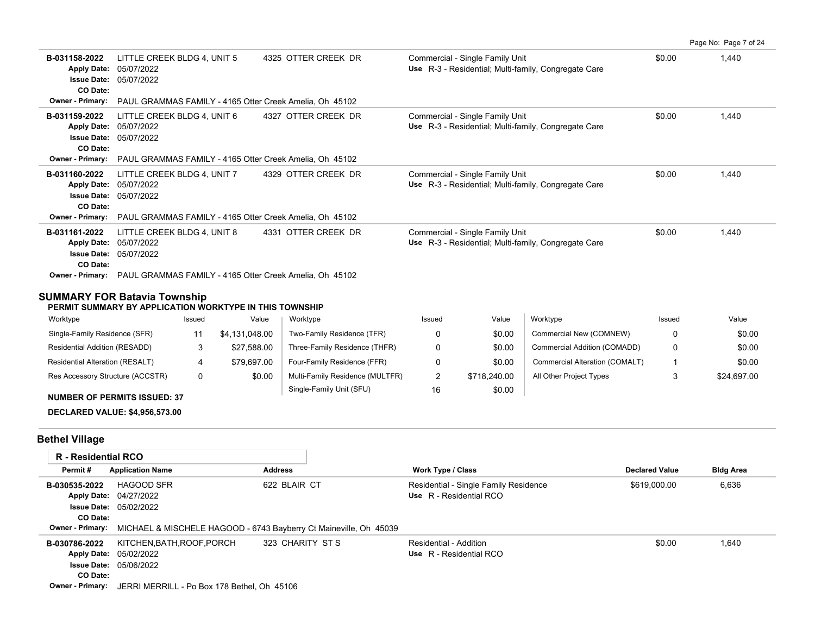|                                                                                                  |                                                                                                                    |                     |                                                                                         |        | Page No: Page 7 of 24 |
|--------------------------------------------------------------------------------------------------|--------------------------------------------------------------------------------------------------------------------|---------------------|-----------------------------------------------------------------------------------------|--------|-----------------------|
| B-031158-2022<br><b>Apply Date:</b><br><b>Issue Date:</b><br>CO Date:<br><b>Owner - Primary:</b> | LITTLE CREEK BLDG 4, UNIT 5<br>05/07/2022<br>05/07/2022<br>PAUL GRAMMAS FAMILY - 4165 Otter Creek Amelia. Oh 45102 | 4325 OTTER CREEK DR | Commercial - Single Family Unit<br>Use R-3 - Residential; Multi-family, Congregate Care | \$0.00 | 1,440                 |
| B-031159-2022<br><b>Apply Date:</b><br><b>Issue Date:</b><br>CO Date:<br>Owner - Primary:        | LITTLE CREEK BLDG 4, UNIT 6<br>05/07/2022<br>05/07/2022<br>PAUL GRAMMAS FAMILY - 4165 Otter Creek Amelia, Oh 45102 | 4327 OTTER CREEK DR | Commercial - Single Family Unit<br>Use R-3 - Residential; Multi-family, Congregate Care | \$0.00 | 1,440                 |
| B-031160-2022<br><b>Apply Date:</b><br><b>Issue Date:</b><br>CO Date:<br>Owner - Primary:        | LITTLE CREEK BLDG 4, UNIT 7<br>05/07/2022<br>05/07/2022<br>PAUL GRAMMAS FAMILY - 4165 Otter Creek Amelia, Oh 45102 | 4329 OTTER CREEK DR | Commercial - Single Family Unit<br>Use R-3 - Residential; Multi-family, Congregate Care | \$0.00 | 1,440                 |
| B-031161-2022<br><b>Apply Date:</b><br><b>Issue Date:</b><br>CO Date:<br><b>Owner - Primary:</b> | LITTLE CREEK BLDG 4, UNIT 8<br>05/07/2022<br>05/07/2022<br>PAUL GRAMMAS FAMILY - 4165 Otter Creek Amelia, Oh 45102 | 4331 OTTER CREEK DR | Commercial - Single Family Unit<br>Use R-3 - Residential; Multi-family, Congregate Care | \$0.00 | 1,440                 |

### **SUMMARY FOR Batavia Township**

#### **PERMIT SUMMARY BY APPLICATION WORKTYPE IN THIS TOWNSHIP**

| Worktype                               | Issued | Value          | Worktype                        | Issued | Value        | Worktype                       | Issued | Value       |
|----------------------------------------|--------|----------------|---------------------------------|--------|--------------|--------------------------------|--------|-------------|
| Single-Family Residence (SFR)          |        | \$4,131,048.00 | Two-Family Residence (TFR)      |        | \$0.00       | Commercial New (COMNEW)        |        | \$0.00      |
| Residential Addition (RESADD)          |        | \$27.588.00    | Three-Family Residence (THFR)   |        | \$0.00       | Commercial Addition (COMADD)   |        | \$0.00      |
| <b>Residential Alteration (RESALT)</b> |        | \$79,697.00    | Four-Family Residence (FFR)     |        | \$0.00       | Commercial Alteration (COMALT) |        | \$0.00      |
| Res Accessory Structure (ACCSTR)       |        | \$0.00         | Multi-Family Residence (MULTFR) |        | \$718,240.00 | All Other Project Types        |        | \$24,697.00 |
|                                        |        |                | Single-Family Unit (SFU)        | 16     | \$0.00       |                                |        |             |

### **NUMBER OF PERMITS ISSUED: 37**

## **DECLARED VALUE: \$4,956,573.00**

# **Bethel Village**

| <b>R</b> - Residential RCO |                                                                   |                  |                                       |                       |                  |
|----------------------------|-------------------------------------------------------------------|------------------|---------------------------------------|-----------------------|------------------|
| Permit#                    | <b>Application Name</b>                                           | <b>Address</b>   | <b>Work Type / Class</b>              | <b>Declared Value</b> | <b>Bldg Area</b> |
| B-030535-2022              | <b>HAGOOD SFR</b>                                                 | 622 BLAIR CT     | Residential - Single Family Residence | \$619,000.00          | 6,636            |
|                            | Apply Date: 04/27/2022                                            |                  | Use R - Residential RCO               |                       |                  |
|                            | <b>Issue Date: 05/02/2022</b>                                     |                  |                                       |                       |                  |
| CO Date:                   |                                                                   |                  |                                       |                       |                  |
| <b>Owner - Primary:</b>    | MICHAEL & MISCHELE HAGOOD - 6743 Bayberry Ct Maineville, Oh 45039 |                  |                                       |                       |                  |
| B-030786-2022              | KITCHEN, BATH, ROOF, PORCH                                        | 323 CHARITY ST S | Residential - Addition                | \$0.00                | 1,640            |
|                            | Apply Date: 05/02/2022                                            |                  | Use R - Residential RCO               |                       |                  |
|                            | <b>Issue Date: 05/06/2022</b>                                     |                  |                                       |                       |                  |
| CO Date:                   |                                                                   |                  |                                       |                       |                  |
| <b>Owner - Primary:</b>    | JERRI MERRILL - Po Box 178 Bethel, Oh 45106                       |                  |                                       |                       |                  |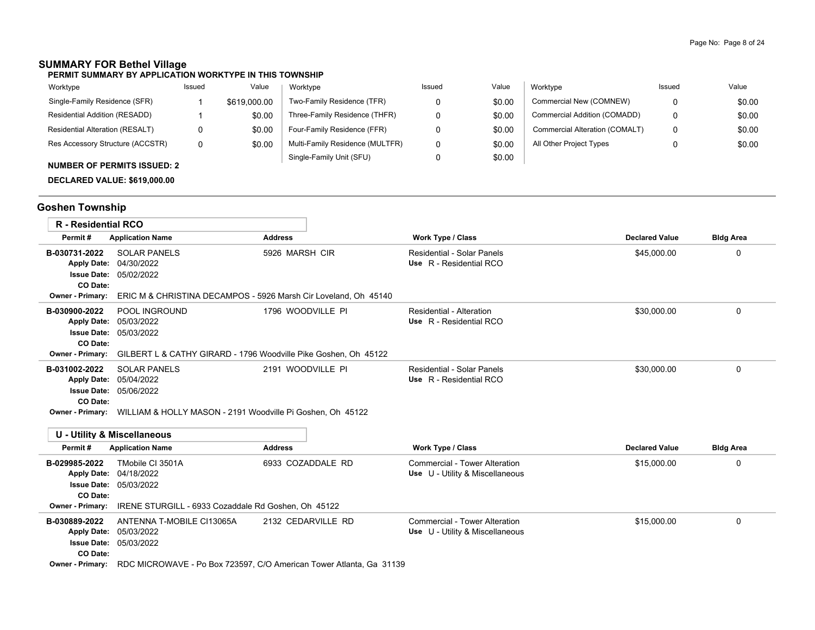# **SUMMARY FOR Bethel Village**

#### **PERMIT SUMMARY BY APPLICATION WORKTYPE IN THIS TOWNSHIP**

| Worktype                           | Issued | Value        | Worktype                        | Issued | Value  | Worktype                       | Issued | Value  |
|------------------------------------|--------|--------------|---------------------------------|--------|--------|--------------------------------|--------|--------|
| Single-Family Residence (SFR)      |        | \$619,000.00 | Two-Family Residence (TFR)      |        | \$0.00 | Commercial New (COMNEW)        |        | \$0.00 |
| Residential Addition (RESADD)      |        | \$0.00       | Three-Family Residence (THFR)   |        | \$0.00 | Commercial Addition (COMADD)   | 0      | \$0.00 |
| Residential Alteration (RESALT)    | 0      | \$0.00       | Four-Family Residence (FFR)     |        | \$0.00 | Commercial Alteration (COMALT) | 0      | \$0.00 |
| Res Accessory Structure (ACCSTR)   | 0      | \$0.00       | Multi-Family Residence (MULTFR) |        | \$0.00 | All Other Project Types        |        | \$0.00 |
| <b>NUMBER OF PERMITS ISSUED: 2</b> |        |              | Single-Family Unit (SFU)        |        | \$0.00 |                                |        |        |

**DECLARED VALUE: \$619,000.00**

# **Goshen Township**

| <b>R</b> - Residential RCO                                                                       |                                                                                                               |                                                                     |                                                                         |                       |                  |
|--------------------------------------------------------------------------------------------------|---------------------------------------------------------------------------------------------------------------|---------------------------------------------------------------------|-------------------------------------------------------------------------|-----------------------|------------------|
| Permit#                                                                                          | <b>Application Name</b>                                                                                       | <b>Address</b>                                                      | <b>Work Type / Class</b>                                                | <b>Declared Value</b> | <b>Bldg Area</b> |
| B-030731-2022<br><b>Apply Date:</b><br><b>Issue Date:</b><br>CO Date:                            | <b>SOLAR PANELS</b><br>04/30/2022<br>05/02/2022                                                               | 5926 MARSH CIR                                                      | Residential - Solar Panels<br>Use R - Residential RCO                   | \$45,000.00           | 0                |
| Owner - Primary:                                                                                 | ERIC M & CHRISTINA DECAMPOS - 5926 Marsh Cir Loveland, Oh 45140                                               |                                                                     |                                                                         |                       |                  |
| B-030900-2022<br><b>Apply Date:</b><br><b>Issue Date:</b><br>CO Date:<br><b>Owner - Primary:</b> | POOL INGROUND<br>05/03/2022<br>05/03/2022<br>GILBERT L & CATHY GIRARD - 1796 Woodville Pike Goshen, Oh 45122  | 1796 WOODVILLE PI                                                   | <b>Residential - Alteration</b><br>Use R - Residential RCO              | \$30.000.00           | 0                |
| B-031002-2022<br><b>Apply Date:</b><br><b>Issue Date:</b><br>CO Date:<br><b>Owner - Primary:</b> | <b>SOLAR PANELS</b><br>05/04/2022<br>05/06/2022<br>WILLIAM & HOLLY MASON - 2191 Woodville Pi Goshen, Oh 45122 | 2191 WOODVILLE PI                                                   | Residential - Solar Panels<br>Use R - Residential RCO                   | \$30,000.00           | $\Omega$         |
|                                                                                                  | <b>U - Utility &amp; Miscellaneous</b>                                                                        |                                                                     |                                                                         |                       |                  |
| Permit#                                                                                          | <b>Application Name</b>                                                                                       | <b>Address</b>                                                      | <b>Work Type / Class</b>                                                | <b>Declared Value</b> | <b>Bldg Area</b> |
| B-029985-2022<br><b>Apply Date:</b><br><b>Issue Date:</b><br>CO Date:                            | TMobile CI 3501A<br>04/18/2022<br>05/03/2022                                                                  | 6933 COZADDALE RD                                                   | <b>Commercial - Tower Alteration</b><br>Use U - Utility & Miscellaneous | \$15,000.00           | 0                |
| Owner - Primary:                                                                                 | IRENE STURGILL - 6933 Cozaddale Rd Goshen, Oh 45122                                                           |                                                                     |                                                                         |                       |                  |
| B-030889-2022<br><b>Apply Date:</b><br><b>Issue Date:</b><br>CO Date:                            | ANTENNA T-MOBILE CI13065A<br>05/03/2022<br>05/03/2022                                                         | 2132 CEDARVILLE RD                                                  | Commercial - Tower Alteration<br>Use U - Utility & Miscellaneous        | \$15,000.00           | $\Omega$         |
| <b>Owner - Primary:</b>                                                                          |                                                                                                               | RDC MICROWAVE - Po Box 723597, C/O American Tower Atlanta, Ga 31139 |                                                                         |                       |                  |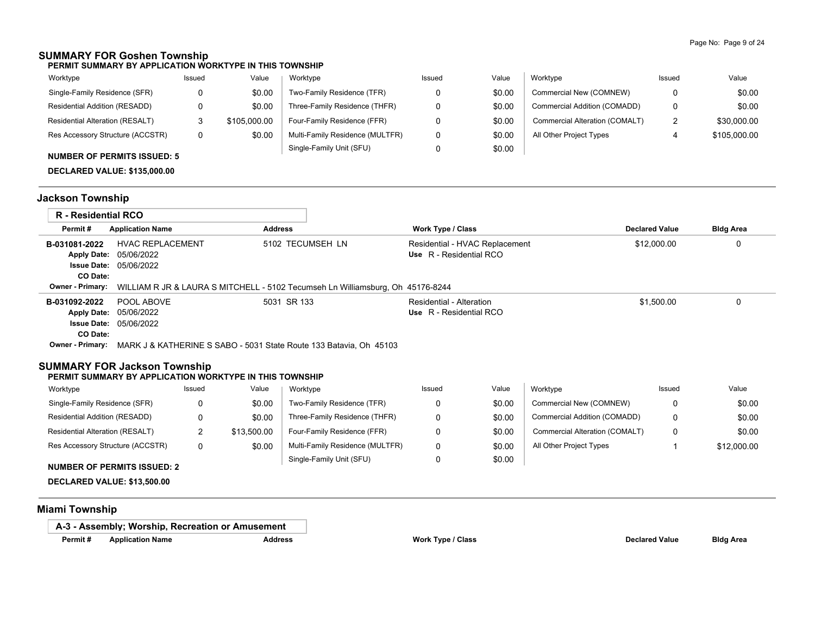## **SUMMARY FOR Goshen Township**

**PERMIT SUMMARY BY APPLICATION WORKTYPE IN THIS TOWNSHIP**

| Worktype                               | Issued | Value        | Worktype                        | Issued | Value  | Worktype                       | Issued | Value        |
|----------------------------------------|--------|--------------|---------------------------------|--------|--------|--------------------------------|--------|--------------|
| Single-Family Residence (SFR)          |        | \$0.00       | Two-Family Residence (TFR)      |        | \$0.00 | Commercial New (COMNEW)        | 0      | \$0.00       |
| Residential Addition (RESADD)          |        | \$0.00       | Three-Family Residence (THFR)   |        | \$0.00 | Commercial Addition (COMADD)   | 0      | \$0.00       |
| <b>Residential Alteration (RESALT)</b> |        | \$105,000.00 | Four-Family Residence (FFR)     |        | \$0.00 | Commercial Alteration (COMALT) | 2      | \$30,000.00  |
| Res Accessory Structure (ACCSTR)       |        | \$0.00       | Multi-Family Residence (MULTFR) |        | \$0.00 | All Other Project Types        |        | \$105,000.00 |
|                                        |        |              | Single-Family Unit (SFU)        |        | \$0.00 |                                |        |              |

### **NUMBER OF PERMITS ISSUED: 5**

**DECLARED VALUE: \$135,000.00**

# **Jackson Township**

| <b>R</b> - Residential RCO |                                                                                                        |                  |                                                           |                       |                  |
|----------------------------|--------------------------------------------------------------------------------------------------------|------------------|-----------------------------------------------------------|-----------------------|------------------|
| Permit#                    | <b>Application Name</b>                                                                                | <b>Address</b>   | <b>Work Type / Class</b>                                  | <b>Declared Value</b> | <b>Bldg Area</b> |
| B-031081-2022<br>CO Date:  | <b>HVAC REPLACEMENT</b><br><b>Apply Date: 05/06/2022</b><br><b>Issue Date: 05/06/2022</b>              | 5102 TECUMSEH LN | Residential - HVAC Replacement<br>Use R - Residential RCO | \$12,000.00           | 0                |
|                            | <b>Owner - Primary:</b> WILLIAM R JR & LAURA S MITCHELL - 5102 Tecumseh Ln Williamsburg, Oh 45176-8244 |                  |                                                           |                       |                  |
| B-031092-2022<br>CO Date:  | POOL ABOVE<br><b>Apply Date: 05/06/2022</b><br><b>Issue Date: 05/06/2022</b>                           | 5031 SR 133      | Residential - Alteration<br>Use R - Residential RCO       | \$1.500.00            |                  |
| <b>Owner - Primary:</b>    | MARK J & KATHERINE S SABO - 5031 State Route 133 Batavia, Oh 45103                                     |                  |                                                           |                       |                  |

## **SUMMARY FOR Jackson Township**

#### **PERMIT SUMMARY BY APPLICATION WORKTYPE IN THIS TOWNSHIP**

| Worktype                               | Issued | Value       | Worktype                        | Issued | Value  | Worktype                       | Issued | Value       |
|----------------------------------------|--------|-------------|---------------------------------|--------|--------|--------------------------------|--------|-------------|
| Single-Family Residence (SFR)          |        | \$0.00      | Two-Family Residence (TFR)      |        | \$0.00 | Commercial New (COMNEW)        |        | \$0.00      |
| Residential Addition (RESADD)          |        | \$0.00      | Three-Family Residence (THFR)   |        | \$0.00 | Commercial Addition (COMADD)   |        | \$0.00      |
| <b>Residential Alteration (RESALT)</b> |        | \$13.500.00 | Four-Family Residence (FFR)     |        | \$0.00 | Commercial Alteration (COMALT) |        | \$0.00      |
| Res Accessory Structure (ACCSTR)       |        | \$0.00      | Multi-Family Residence (MULTFR) |        | \$0.00 | All Other Project Types        |        | \$12,000.00 |
|                                        |        |             | Single-Family Unit (SFU)        |        | \$0.00 |                                |        |             |

#### **NUMBER OF PERMITS ISSUED: 2**

**DECLARED VALUE: \$13,500.00**

## **Miami Township**

**A-3 - Assembly; Worship, Recreation or Amusement**

**Permit # Application Name Address Work Type / Class Declared Value Bldg Area**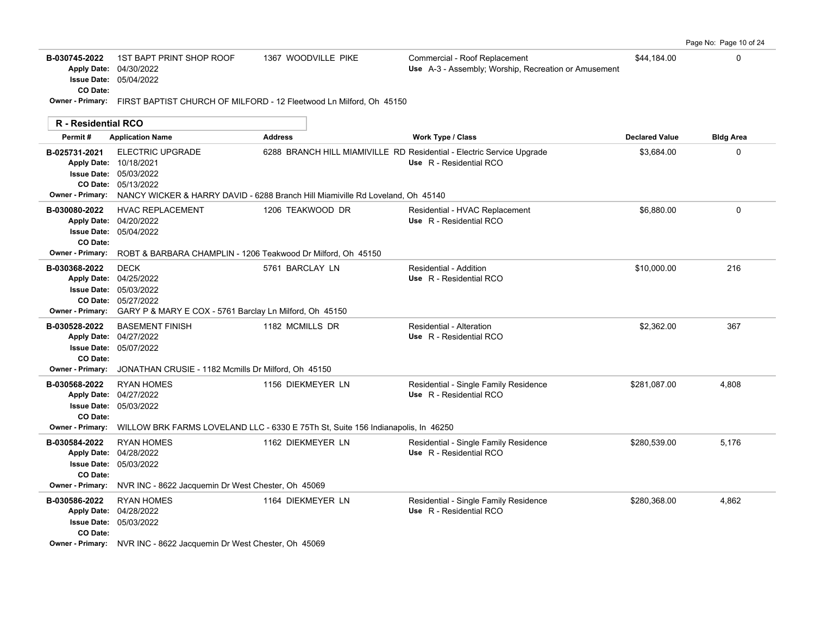|  |  |  | Page No: Page 10 of 24 |  |  |  |
|--|--|--|------------------------|--|--|--|
|--|--|--|------------------------|--|--|--|

| B-030745-2022 | 1ST BAPT PRINT SHOP ROOF      | 1367 WOODVILLE PIKE | Commercial - Roof Replacement                               | \$44.184.00 |  |
|---------------|-------------------------------|---------------------|-------------------------------------------------------------|-------------|--|
|               | <b>Apply Date: 04/30/2022</b> |                     | <b>Use</b> A-3 - Assembly; Worship, Recreation or Amusement |             |  |
|               | <b>Issue Date: 05/04/2022</b> |                     |                                                             |             |  |
| CO Date:      |                               |                     |                                                             |             |  |

**Owner - Primary:** FIRST BAPTIST CHURCH OF MILFORD - 12 Fleetwood Ln Milford, Oh 45150

| <b>R</b> - Residential RCO                           |                                                                                                                                                                                             |                   |                                                                                                  |                       |                  |
|------------------------------------------------------|---------------------------------------------------------------------------------------------------------------------------------------------------------------------------------------------|-------------------|--------------------------------------------------------------------------------------------------|-----------------------|------------------|
| Permit#                                              | <b>Application Name</b>                                                                                                                                                                     | <b>Address</b>    | <b>Work Type / Class</b>                                                                         | <b>Declared Value</b> | <b>Bldg Area</b> |
| B-025731-2021<br><b>Owner - Primary:</b>             | <b>ELECTRIC UPGRADE</b><br>Apply Date: 10/18/2021<br><b>Issue Date: 05/03/2022</b><br>CO Date: 05/13/2022<br>NANCY WICKER & HARRY DAVID - 6288 Branch Hill Miamiville Rd Loveland, Oh 45140 |                   | 6288 BRANCH HILL MIAMIVILLE RD Residential - Electric Service Upgrade<br>Use R - Residential RCO | \$3,684.00            | 0                |
| B-030080-2022<br>CO Date:<br><b>Owner - Primary:</b> | <b>HVAC REPLACEMENT</b><br>Apply Date: 04/20/2022<br><b>Issue Date: 05/04/2022</b><br>ROBT & BARBARA CHAMPLIN - 1206 Teakwood Dr Milford, Oh 45150                                          | 1206 TEAKWOOD DR  | Residential - HVAC Replacement<br>Use R - Residential RCO                                        | \$6,880.00            | 0                |
| B-030368-2022<br><b>Owner - Primary:</b>             | <b>DECK</b><br>Apply Date: 04/25/2022<br><b>Issue Date: 05/03/2022</b><br>CO Date: 05/27/2022<br>GARY P & MARY E COX - 5761 Barclay Ln Milford, Oh 45150                                    | 5761 BARCLAY LN   | Residential - Addition<br>Use R - Residential RCO                                                | \$10,000.00           | 216              |
| B-030528-2022<br>CO Date:<br><b>Owner - Primary:</b> | <b>BASEMENT FINISH</b><br>Apply Date: 04/27/2022<br><b>Issue Date: 05/07/2022</b><br>JONATHAN CRUSIE - 1182 Mcmills Dr Milford, Oh 45150                                                    | 1182 MCMILLS DR   | Residential - Alteration<br>Use R - Residential RCO                                              | \$2,362.00            | 367              |
| B-030568-2022<br>CO Date:<br><b>Owner - Primary:</b> | <b>RYAN HOMES</b><br>Apply Date: 04/27/2022<br><b>Issue Date: 05/03/2022</b><br>WILLOW BRK FARMS LOVELAND LLC - 6330 E 75Th St, Suite 156 Indianapolis, In 46250                            | 1156 DIEKMEYER LN | Residential - Single Family Residence<br>Use R - Residential RCO                                 | \$281,087.00          | 4,808            |
| B-030584-2022<br>CO Date:<br><b>Owner - Primary:</b> | <b>RYAN HOMES</b><br>Apply Date: 04/28/2022<br><b>Issue Date: 05/03/2022</b><br>NVR INC - 8622 Jacquemin Dr West Chester, Oh 45069                                                          | 1162 DIEKMEYER LN | Residential - Single Family Residence<br>Use R - Residential RCO                                 | \$280,539.00          | 5,176            |
| B-030586-2022<br>CO Date:                            | <b>RYAN HOMES</b><br>Apply Date: 04/28/2022<br><b>Issue Date: 05/03/2022</b><br>Owner - Primary: NVR INC - 8622 Jacquemin Dr West Chester, Oh 45069                                         | 1164 DIEKMEYER LN | Residential - Single Family Residence<br>Use R - Residential RCO                                 | \$280,368.00          | 4,862            |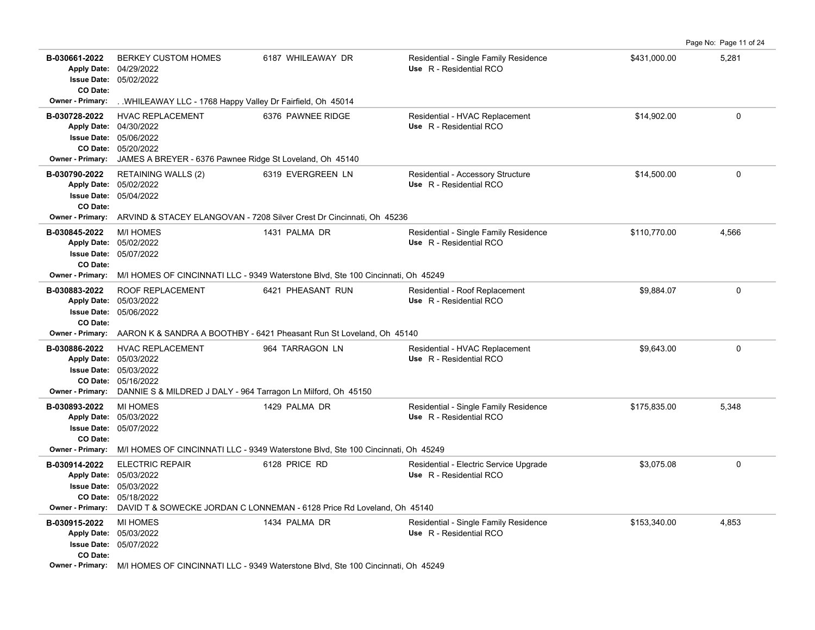|                                                      |                                                                                                                                                                       |                                                                                                        |                                                                  |              | Page No: Page 11 of 24 |
|------------------------------------------------------|-----------------------------------------------------------------------------------------------------------------------------------------------------------------------|--------------------------------------------------------------------------------------------------------|------------------------------------------------------------------|--------------|------------------------|
| B-030661-2022<br>CO Date:                            | <b>BERKEY CUSTOM HOMES</b><br>Apply Date: 04/29/2022<br><b>Issue Date: 05/02/2022</b>                                                                                 | 6187 WHILEAWAY DR                                                                                      | Residential - Single Family Residence<br>Use R - Residential RCO | \$431,000.00 | 5,281                  |
| Owner - Primary:                                     | WHILEAWAY LLC - 1768 Happy Valley Dr Fairfield, Oh 45014                                                                                                              |                                                                                                        |                                                                  |              |                        |
| B-030728-2022<br><b>Owner - Primary:</b>             | <b>HVAC REPLACEMENT</b><br>Apply Date: 04/30/2022<br><b>Issue Date: 05/06/2022</b><br>CO Date: 05/20/2022<br>JAMES A BREYER - 6376 Pawnee Ridge St Loveland, Oh 45140 | 6376 PAWNEE RIDGE                                                                                      | Residential - HVAC Replacement<br>Use R - Residential RCO        | \$14,902.00  | $\mathbf 0$            |
| B-030790-2022<br>CO Date:<br><b>Owner - Primary:</b> | <b>RETAINING WALLS (2)</b><br>Apply Date: 05/02/2022<br>Issue Date: 05/04/2022                                                                                        | 6319 EVERGREEN LN<br>ARVIND & STACEY ELANGOVAN - 7208 Silver Crest Dr Cincinnati, Oh 45236             | Residential - Accessory Structure<br>Use R - Residential RCO     | \$14,500.00  | $\mathbf 0$            |
| B-030845-2022<br>CO Date:<br><b>Owner - Primary:</b> | <b>M/I HOMES</b><br>Apply Date: 05/02/2022<br><b>Issue Date: 05/07/2022</b>                                                                                           | 1431 PALMA DR<br>M/I HOMES OF CINCINNATI LLC - 9349 Waterstone Blvd, Ste 100 Cincinnati, Oh 45249      | Residential - Single Family Residence<br>Use R - Residential RCO | \$110,770.00 | 4,566                  |
| B-030883-2022<br>CO Date:                            | ROOF REPLACEMENT<br>Apply Date: 05/03/2022<br><b>Issue Date: 05/06/2022</b>                                                                                           | 6421 PHEASANT RUN                                                                                      | Residential - Roof Replacement<br>Use R - Residential RCO        | \$9,884.07   | $\mathbf 0$            |
|                                                      |                                                                                                                                                                       | <b>Owner - Primary:</b> AARON K & SANDRA A BOOTHBY - 6421 Pheasant Run St Loveland, Oh 45140           |                                                                  |              |                        |
| B-030886-2022<br><b>Owner - Primary:</b>             | <b>HVAC REPLACEMENT</b><br>Apply Date: 05/03/2022<br>Issue Date: 05/03/2022<br>CO Date: 05/16/2022<br>DANNIE S & MILDRED J DALY - 964 Tarragon Ln Milford, Oh 45150   | 964 TARRAGON LN                                                                                        | Residential - HVAC Replacement<br>Use R - Residential RCO        | \$9,643.00   | $\mathbf 0$            |
| B-030893-2022<br>CO Date:<br><b>Owner - Primary:</b> | <b>MI HOMES</b><br>Apply Date: 05/03/2022<br><b>Issue Date: 05/07/2022</b>                                                                                            | 1429 PALMA DR<br>M/I HOMES OF CINCINNATI LLC - 9349 Waterstone Blvd, Ste 100 Cincinnati, Oh 45249      | Residential - Single Family Residence<br>Use R - Residential RCO | \$175,835.00 | 5,348                  |
|                                                      | <b>ELECTRIC REPAIR</b>                                                                                                                                                | 6128 PRICE RD                                                                                          | Residential - Electric Service Upgrade                           | \$3,075.08   | $\Omega$               |
| B-030914-2022<br><b>Owner - Primary:</b>             | Apply Date: 05/03/2022<br><b>Issue Date: 05/03/2022</b><br>CO Date: 05/18/2022                                                                                        | DAVID T & SOWECKE JORDAN C LONNEMAN - 6128 Price Rd Loveland, Oh 45140                                 | Use R - Residential RCO                                          |              |                        |
| B-030915-2022<br>CO Date:                            | <b>MI HOMES</b><br>Apply Date: 05/03/2022<br><b>Issue Date: 05/07/2022</b>                                                                                            | 1434 PALMA DR                                                                                          | Residential - Single Family Residence<br>Use R - Residential RCO | \$153,340.00 | 4,853                  |
|                                                      |                                                                                                                                                                       | <b>Owner - Primary:</b> M/LHOMES OF CINCINNATLLIC - 9349 Waterstone Blyd. Ste 100 Cincinnati Ob. 45249 |                                                                  |              |                        |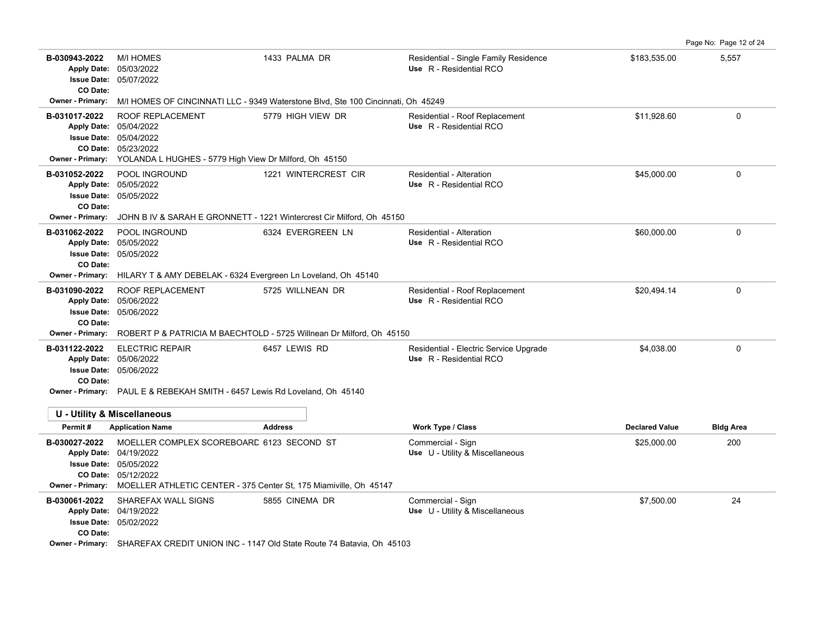| B-030943-2022<br><b>Apply Date:</b><br><b>Issue Date:</b><br>CO Date:                            | <b>M/I HOMES</b><br>05/03/2022<br>05/07/2022                                                                                                                                  | 1433 PALMA DR                                                                                 | Residential - Single Family Residence<br>Use R - Residential RCO  | \$183.535.00          | 5.557            |
|--------------------------------------------------------------------------------------------------|-------------------------------------------------------------------------------------------------------------------------------------------------------------------------------|-----------------------------------------------------------------------------------------------|-------------------------------------------------------------------|-----------------------|------------------|
| <b>Owner - Primary:</b>                                                                          | M/I HOMES OF CINCINNATI LLC - 9349 Waterstone Blvd, Ste 100 Cincinnati, Oh 45249                                                                                              |                                                                                               |                                                                   |                       |                  |
| B-031017-2022<br><b>Apply Date:</b><br>CO Date:<br><b>Owner - Primary:</b>                       | ROOF REPLACEMENT<br>05/04/2022<br><b>Issue Date: 05/04/2022</b><br>05/23/2022<br>YOLANDA L HUGHES - 5779 High View Dr Milford, Oh 45150                                       | 5779 HIGH VIEW DR                                                                             | Residential - Roof Replacement<br>Use R - Residential RCO         | \$11,928.60           | 0                |
| B-031052-2022<br><b>Apply Date:</b><br><b>Issue Date:</b><br>CO Date:<br><b>Owner - Primary:</b> | POOL INGROUND<br>05/05/2022<br>05/05/2022                                                                                                                                     | 1221 WINTERCREST CIR<br>JOHN B IV & SARAH E GRONNETT - 1221 Wintercrest Cir Milford, Oh 45150 | Residential - Alteration<br>Use R - Residential RCO               | \$45,000.00           | 0                |
| B-031062-2022<br><b>Apply Date:</b><br><b>Issue Date:</b><br>CO Date:<br>Owner - Primary:        | POOL INGROUND<br>05/05/2022<br>05/05/2022<br>HILARY T & AMY DEBELAK - 6324 Evergreen Ln Loveland, Oh 45140                                                                    | 6324 EVERGREEN LN                                                                             | <b>Residential - Alteration</b><br>Use R - Residential RCO        | \$60,000.00           | 0                |
| B-031090-2022<br>CO Date:<br><b>Owner - Primary:</b>                                             | ROOF REPLACEMENT<br>Apply Date: 05/06/2022<br><b>Issue Date: 05/06/2022</b><br>ROBERT P & PATRICIA M BAECHTOLD - 5725 Willnean Dr Milford, Oh 45150                           | 5725 WILLNEAN DR                                                                              | Residential - Roof Replacement<br>Use R - Residential RCO         | \$20,494.14           | 0                |
| B-031122-2022<br>CO Date:                                                                        | <b>ELECTRIC REPAIR</b><br>Apply Date: 05/06/2022<br><b>Issue Date: 05/06/2022</b><br>Owner - Primary: PAUL E & REBEKAH SMITH - 6457 Lewis Rd Loveland, Oh 45140               | 6457 LEWIS RD                                                                                 | Residential - Electric Service Upgrade<br>Use R - Residential RCO | \$4,038.00            | $\Omega$         |
|                                                                                                  |                                                                                                                                                                               |                                                                                               |                                                                   |                       |                  |
|                                                                                                  | <b>U - Utility &amp; Miscellaneous</b>                                                                                                                                        |                                                                                               |                                                                   |                       |                  |
| Permit#                                                                                          | <b>Application Name</b>                                                                                                                                                       | <b>Address</b>                                                                                | <b>Work Type / Class</b>                                          | <b>Declared Value</b> | <b>Bldg Area</b> |
| B-030027-2022<br><b>Issue Date:</b><br>Owner - Primary:                                          | MOELLER COMPLEX SCOREBOARD 6123 SECOND ST<br>Apply Date: 04/19/2022<br>05/05/2022<br>CO Date: 05/12/2022<br>MOELLER ATHLETIC CENTER - 375 Center St, 175 Miamiville, Oh 45147 |                                                                                               | Commercial - Sign<br>Use U - Utility & Miscellaneous              | \$25,000.00           | 200              |
| B-030061-2022<br><b>Apply Date:</b><br>CO Date:                                                  | SHAREFAX WALL SIGNS<br>04/19/2022<br><b>Issue Date: 05/02/2022</b><br>Owner - Primary: SHAREFAX CREDIT UNION INC - 1147 Old State Route 74 Batavia, Oh 45103                  | 5855 CINEMA DR                                                                                | Commercial - Sign<br>Use U - Utility & Miscellaneous              | \$7,500.00            | 24               |

Page No: Page 12 of 24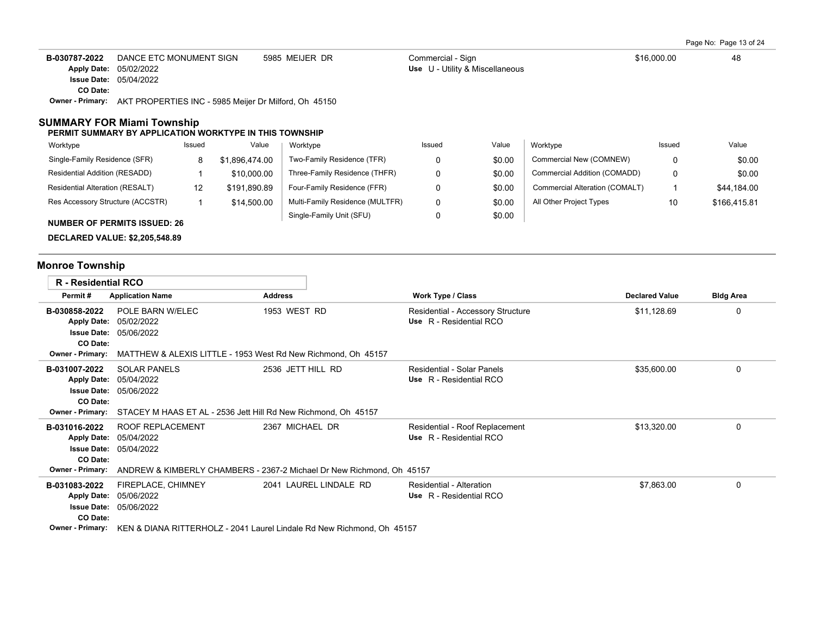Page No: Page 13 of 24

| B-030787-2022 | DANCE ETC MONUMENT SIGN                                                       | 5985 MEIJER DR | Commercial - Sign               | \$16,000.00 | 48 |
|---------------|-------------------------------------------------------------------------------|----------------|---------------------------------|-------------|----|
|               | <b>Apply Date: 05/02/2022</b>                                                 |                | Use U - Utility & Miscellaneous |             |    |
|               | <b>Issue Date: 05/04/2022</b>                                                 |                |                                 |             |    |
| CO Date:      |                                                                               |                |                                 |             |    |
|               | <b>Owner - Primary:</b> AKT PROPERTIES INC - 5985 Meijer Dr Milford, Oh 45150 |                |                                 |             |    |

### **SUMMARY FOR Miami Township**

#### **PERMIT SUMMARY BY APPLICATION WORKTYPE IN THIS TOWNSHIP**

| Worktype                               | Issued | Value          | Worktype                        | Issued | Value  | Worktype                       | Issued | Value        |
|----------------------------------------|--------|----------------|---------------------------------|--------|--------|--------------------------------|--------|--------------|
| Single-Family Residence (SFR)          | 8      | \$1.896.474.00 | Two-Family Residence (TFR)      |        | \$0.00 | Commercial New (COMNEW)        |        | \$0.00       |
| Residential Addition (RESADD)          |        | \$10,000.00    | Three-Family Residence (THFR)   |        | \$0.00 | Commercial Addition (COMADD)   |        | \$0.00       |
| <b>Residential Alteration (RESALT)</b> | 12     | \$191.890.89   | Four-Family Residence (FFR)     |        | \$0.00 | Commercial Alteration (COMALT) |        | \$44,184.00  |
| Res Accessory Structure (ACCSTR)       |        | \$14,500.00    | Multi-Family Residence (MULTFR) |        | \$0.00 | All Other Project Types        | 10     | \$166,415.81 |
| <b>NUMBER OF PERMITS ISSUED: 26</b>    |        |                | Single-Family Unit (SFU)        |        | \$0.00 |                                |        |              |

**DECLARED VALUE: \$2,205,548.89**

# **Monroe Township**

| <b>R</b> - Residential RCO                                                                       |                                                                                                                                      |                                                               |                                                              |                       |                  |  |  |  |  |  |  |  |
|--------------------------------------------------------------------------------------------------|--------------------------------------------------------------------------------------------------------------------------------------|---------------------------------------------------------------|--------------------------------------------------------------|-----------------------|------------------|--|--|--|--|--|--|--|
| Permit#                                                                                          | <b>Application Name</b>                                                                                                              | <b>Address</b>                                                | Work Type / Class                                            | <b>Declared Value</b> | <b>Bldg Area</b> |  |  |  |  |  |  |  |
| B-030858-2022<br><b>Apply Date:</b><br><b>Issue Date:</b>                                        | POLE BARN W/ELEC<br>05/02/2022<br>05/06/2022                                                                                         | 1953 WEST RD                                                  | Residential - Accessory Structure<br>Use R - Residential RCO | \$11,128.69           | 0                |  |  |  |  |  |  |  |
| CO Date:<br><b>Owner - Primary:</b>                                                              |                                                                                                                                      | MATTHEW & ALEXIS LITTLE - 1953 West Rd New Richmond, Oh 45157 |                                                              |                       |                  |  |  |  |  |  |  |  |
| B-031007-2022<br><b>Apply Date:</b><br>CO Date:<br><b>Owner - Primary:</b>                       | <b>SOLAR PANELS</b><br>05/04/2022<br><b>Issue Date: 05/06/2022</b><br>STACEY M HAAS ET AL - 2536 Jett Hill Rd New Richmond, Oh 45157 | 2536 JETT HILL RD                                             | Residential - Solar Panels<br>Use R - Residential RCO        | \$35,600.00           | 0                |  |  |  |  |  |  |  |
| B-031016-2022<br><b>Apply Date:</b><br><b>Issue Date:</b><br>CO Date:<br><b>Owner - Primary:</b> | <b>ROOF REPLACEMENT</b><br>05/04/2022<br>05/04/2022<br>ANDREW & KIMBERLY CHAMBERS - 2367-2 Michael Dr New Richmond, Oh 45157         | 2367 MICHAEL DR                                               | Residential - Roof Replacement<br>Use R - Residential RCO    | \$13,320.00           | 0                |  |  |  |  |  |  |  |
| B-031083-2022<br><b>Apply Date:</b><br><b>Issue Date:</b><br>CO Date:<br>Owner - Primary:        | FIREPLACE, CHIMNEY<br>05/06/2022<br>05/06/2022<br>KEN & DIANA RITTERHOLZ - 2041 Laurel Lindale Rd New Richmond, Oh 45157             | 2041 LAUREL LINDALE RD                                        | Residential - Alteration<br>Use R - Residential RCO          | \$7,863.00            | 0                |  |  |  |  |  |  |  |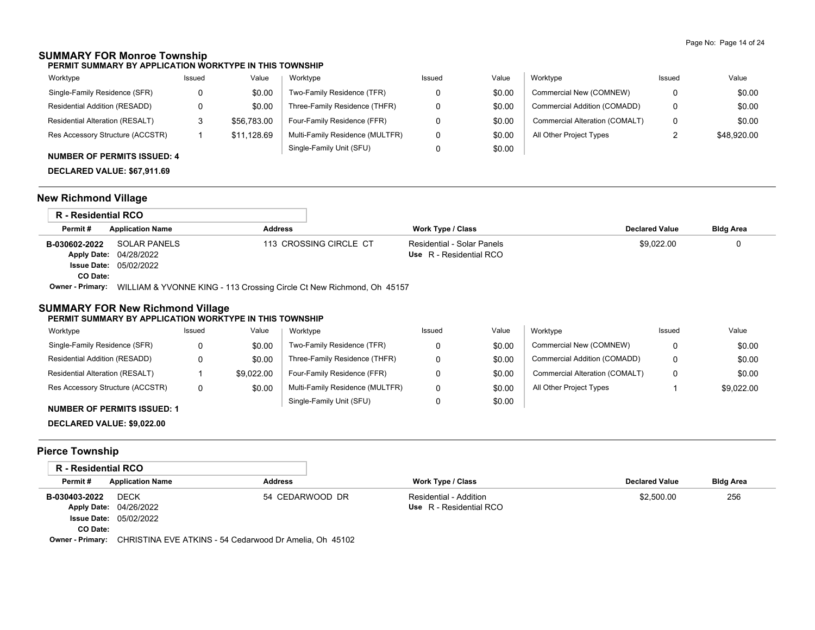## **SUMMARY FOR Monroe Township**

**PERMIT SUMMARY BY APPLICATION WORKTYPE IN THIS TOWNSHIP**

| Worktype                               | Issued | Value       | Worktype                        | Issued | Value  | Worktype                       | Issued | Value       |
|----------------------------------------|--------|-------------|---------------------------------|--------|--------|--------------------------------|--------|-------------|
| Single-Family Residence (SFR)          |        | \$0.00      | Two-Family Residence (TFR)      |        | \$0.00 | Commercial New (COMNEW)        |        | \$0.00      |
| Residential Addition (RESADD)          |        | \$0.00      | Three-Family Residence (THFR)   |        | \$0.00 | Commercial Addition (COMADD)   |        | \$0.00      |
| <b>Residential Alteration (RESALT)</b> |        | \$56,783.00 | Four-Family Residence (FFR)     |        | \$0.00 | Commercial Alteration (COMALT) |        | \$0.00      |
| Res Accessory Structure (ACCSTR)       |        | \$11,128.69 | Multi-Family Residence (MULTFR) |        | \$0.00 | All Other Project Types        |        | \$48,920.00 |
|                                        |        |             | Single-Family Unit (SFU)        |        | \$0.00 |                                |        |             |

### **NUMBER OF PERMITS ISSUED: 4**

**DECLARED VALUE: \$67,911.69**

## **New Richmond Village**

| R - Residential RCO     |                                                                       |                        |                            |                       |                  |
|-------------------------|-----------------------------------------------------------------------|------------------------|----------------------------|-----------------------|------------------|
| Permit#                 | <b>Application Name</b>                                               | <b>Address</b>         | <b>Work Type / Class</b>   | <b>Declared Value</b> | <b>Bldg Area</b> |
| B-030602-2022           | SOLAR PANELS                                                          | 113 CROSSING CIRCLE CT | Residential - Solar Panels | \$9.022.00            |                  |
|                         | <b>Apply Date: 04/28/2022</b>                                         |                        | Use R - Residential RCO    |                       |                  |
|                         | <b>Issue Date: 05/02/2022</b>                                         |                        |                            |                       |                  |
| CO Date:                |                                                                       |                        |                            |                       |                  |
| <b>Owner - Primary:</b> | WILLIAM & YVONNE KING - 113 Crossing Circle Ct New Richmond, Oh 45157 |                        |                            |                       |                  |

## **SUMMARY FOR New Richmond Village**

#### **PERMIT SUMMARY BY APPLICATION WORKTYPE IN THIS TOWNSHIP**

| Worktype                         | Issued | Value      | Worktype                        | Issued | Value  | Worktype                       | Issued | Value      |
|----------------------------------|--------|------------|---------------------------------|--------|--------|--------------------------------|--------|------------|
| Single-Family Residence (SFR)    |        | \$0.00     | Two-Family Residence (TFR)      |        | \$0.00 | Commercial New (COMNEW)        |        | \$0.00     |
| Residential Addition (RESADD)    |        | \$0.00     | Three-Family Residence (THFR)   |        | \$0.00 | Commercial Addition (COMADD)   | 0      | \$0.00     |
| Residential Alteration (RESALT)  |        | \$9.022.00 | Four-Family Residence (FFR)     |        | \$0.00 | Commercial Alteration (COMALT) | 0      | \$0.00     |
| Res Accessory Structure (ACCSTR) | 0      | \$0.00     | Multi-Family Residence (MULTFR) |        | \$0.00 | All Other Project Types        |        | \$9.022.00 |
|                                  |        |            | Single-Family Unit (SFU)        |        | \$0.00 |                                |        |            |

#### **NUMBER OF PERMITS ISSUED: 1**

**DECLARED VALUE: \$9,022.00**

# **Pierce Township**

| R - Residential RCO |                               |                 |                         |                       |                  |
|---------------------|-------------------------------|-----------------|-------------------------|-----------------------|------------------|
| Permit#             | <b>Application Name</b>       | <b>Address</b>  | Work Type / Class       | <b>Declared Value</b> | <b>Bldg Area</b> |
| B-030403-2022       | <b>DECK</b>                   | 54 CEDARWOOD DR | Residential - Addition  | \$2,500.00            | 256              |
|                     | Apply Date: 04/26/2022        |                 | Use R - Residential RCO |                       |                  |
|                     | <b>Issue Date: 05/02/2022</b> |                 |                         |                       |                  |
| CO Date:            |                               |                 |                         |                       |                  |
|                     |                               |                 |                         |                       |                  |

**Owner - Primary:** CHRISTINA EVE ATKINS - 54 Cedarwood Dr Amelia, Oh 45102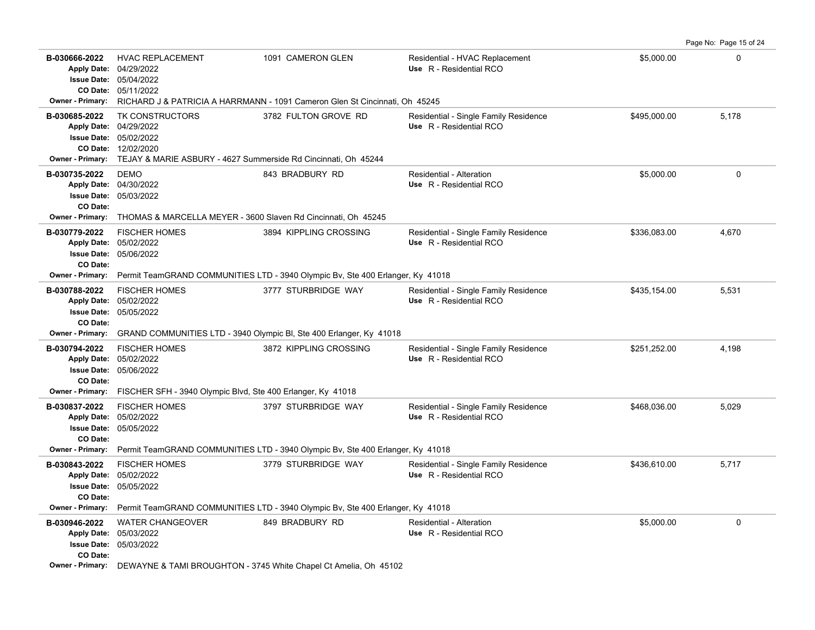**B-030666-2022** HVAC REPLACEMENT 1091 CAMERON GLEN Residential - HVAC Replacement \$5,000.00 \$5,000.00 05/11/2022 **CO Date:** 05/04/2022 **Issue Date:** Apply Date: 04/29/2022 **Apply Date: Use** R - Residential RCO **Owner - Primary:** RICHARD J & PATRICIA A HARRMANN - 1091 Cameron Glen St Cincinnati, Oh 45245 B-030685-2022 TK CONSTRUCTORS 3782 FULTON GROVE RD Residential - Single Family Residence \$495,000.00 5,178 12/02/2020 **CO Date:** 05/02/2022 **Issue Date:** 04/29/2022 **Apply Date: Use** R - Residential RCO **Owner - Primary:** TEJAY & MARIE ASBURY - 4627 Summerside Rd Cincinnati, Oh 45244 **B-030735-2022** \$5,000.00 0 05/03/2022 **Issue Date:** 04/30/2022 **Apply Date: Use** R - Residential RCO DEMO 843 BRADBURY RD Residential - Alteration **CO Date: Owner - Primary:** THOMAS & MARCELLA MEYER - 3600 Slaven Rd Cincinnati, Oh 45245 B-030779-2022 FISCHER HOMES 3894 KIPPLING CROSSING Residential - Single Family Residence \$336,083.00 4,670 05/06/2022 **Issue Date:** Apply Date: 05/02/2022 **Apply Date: Use** R - Residential RCO **CO Date: Owner - Primary:** Permit TeamGRAND COMMUNITIES LTD - 3940 Olympic Bv, Ste 400 Erlanger, Ky 41018 B-030788-2022 FISCHER HOMES 3777 STURBRIDGE WAY Residential - Single Family Residence \$435,154.00 5,531 05/05/2022 **Issue Date:** Apply Date: 05/02/2022 **Apply Date: Use** R - Residential RCO **CO Date: Owner - Primary:** GRAND COMMUNITIES LTD - 3940 Olympic Bl, Ste 400 Erlanger, Ky 41018 B-030794-2022 FISCHER HOMES 3872 KIPPLING CROSSING Residential - Single Family Residence \$251,252.00 4,198 05/06/2022 **Issue Date:** Apply Date: 05/02/2022 **Apply Date: Use** R - Residential RCO **CO Date: Owner - Primary:** FISCHER SFH - 3940 Olympic Blvd, Ste 400 Erlanger, Ky 41018 B-030837-2022 FISCHER HOMES 3797 STURBRIDGE WAY Residential - Single Family Residence \$468,036.00 5,029 05/05/2022 **Issue Date:** Apply Date: 05/02/2022 **Apply Date: Use** R - Residential RCO **CO Date: Owner - Primary:** Permit TeamGRAND COMMUNITIES LTD - 3940 Olympic Bv, Ste 400 Erlanger, Ky 41018 B-030843-2022 FISCHER HOMES 3779 STURBRIDGE WAY Residential - Single Family Residence \$436,610.00 5,717 05/05/2022 **Issue Date:** 05/02/2022 **Apply Date: Use** R - Residential RCO **CO Date: Owner - Primary:** Permit TeamGRAND COMMUNITIES LTD - 3940 Olympic Bv, Ste 400 Erlanger, Ky 41018 **B-030946-2022** \$5,000.00 0 WATER CHANGEOVER 849 BRADBURY RD Residential - Alteration 05/03/2022 **Issue Date:** 05/03/2022 **Apply Date: Use** R - Residential RCO **CO Date:**

Page No: Page 15 of 24

**Owner - Primary:** DEWAYNE & TAMI BROUGHTON - 3745 White Chapel Ct Amelia, Oh 45102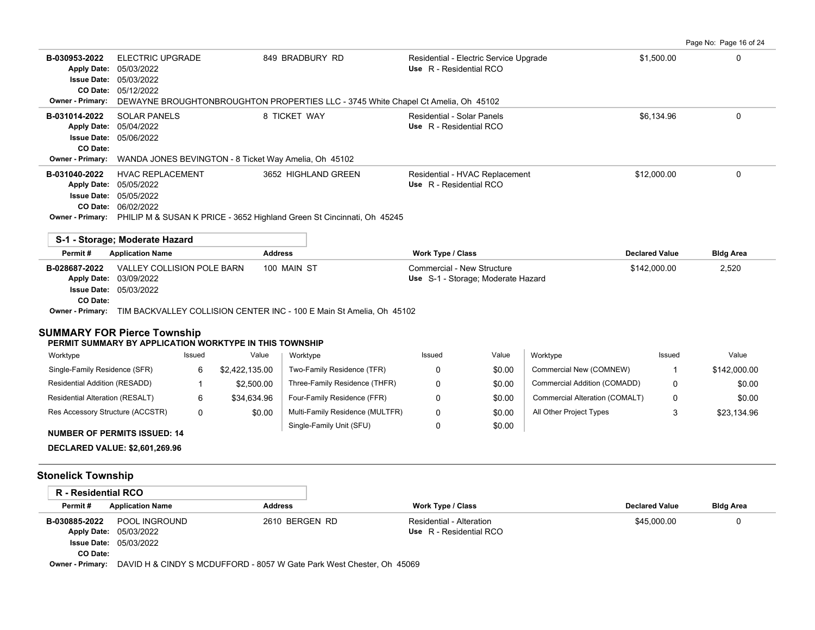| Page No: Page 16 of 24 |  |  |  |
|------------------------|--|--|--|
|------------------------|--|--|--|

| B-030953-2022<br><b>Apply Date:</b><br><b>Issue Date:</b><br>CO Date:<br><b>Owner - Primary:</b>                           | <b>ELECTRIC UPGRADE</b><br>05/03/2022<br>05/03/2022<br>05/12/2022 |        |                | 849 BRADBURY RD<br>DEWAYNE BROUGHTONBROUGHTON PROPERTIES LLC - 3745 White Chapel Ct Amelia, Oh 45102           | Residential - Electric Service Upgrade<br>Use R - Residential RCO |        |                                | \$1.500.00            | $\Omega$         |
|----------------------------------------------------------------------------------------------------------------------------|-------------------------------------------------------------------|--------|----------------|----------------------------------------------------------------------------------------------------------------|-------------------------------------------------------------------|--------|--------------------------------|-----------------------|------------------|
| B-031014-2022<br><b>Apply Date:</b><br><b>Issue Date: 05/06/2022</b><br>CO Date:                                           | <b>SOLAR PANELS</b><br>05/04/2022                                 |        |                | 8 TICKET WAY<br>Residential - Solar Panels<br>Use R - Residential RCO                                          |                                                                   |        | \$6,134.96                     | $\Omega$              |                  |
| <b>Owner - Primary:</b>                                                                                                    |                                                                   |        |                | WANDA JONES BEVINGTON - 8 Ticket Way Amelia, Oh 45102                                                          |                                                                   |        |                                |                       |                  |
| B-031040-2022<br><b>Apply Date:</b><br><b>Issue Date:</b><br>CO Date: 06/02/2022                                           | <b>HVAC REPLACEMENT</b><br>05/05/2022<br>05/05/2022               |        |                | 3652 HIGHLAND GREEN<br>Owner - Primary: PHILIP M & SUSAN K PRICE - 3652 Highland Green St Cincinnati, Oh 45245 | Residential - HVAC Replacement<br>Use R - Residential RCO         |        |                                | \$12,000.00           | $\Omega$         |
| S-1 - Storage; Moderate Hazard                                                                                             |                                                                   |        |                |                                                                                                                |                                                                   |        |                                |                       |                  |
| Permit#                                                                                                                    | <b>Application Name</b>                                           |        | <b>Address</b> |                                                                                                                | <b>Work Type / Class</b>                                          |        |                                | <b>Declared Value</b> | <b>Bldg Area</b> |
| B-028687-2022<br>Apply Date: 03/09/2022<br><b>Issue Date: 05/03/2022</b><br>CO Date:<br><b>SUMMARY FOR Pierce Township</b> | VALLEY COLLISION POLE BARN                                        |        |                | 100 MAIN ST<br><b>Owner - Primary:</b> TIM BACKVALLEY COLLISION CENTER INC - 100 E Main St Amelia, Oh 45102    | Commercial - New Structure<br>Use S-1 - Storage; Moderate Hazard  |        |                                | \$142,000.00          | 2,520            |
| PERMIT SUMMARY BY APPLICATION WORKTYPE IN THIS TOWNSHIP                                                                    |                                                                   |        |                |                                                                                                                |                                                                   |        |                                |                       |                  |
| Worktype                                                                                                                   |                                                                   | Issued | Value          | Worktype                                                                                                       | Issued                                                            | Value  | Worktype                       | Issued                | Value            |
| Single-Family Residence (SFR)                                                                                              |                                                                   | 6      | \$2,422,135.00 | Two-Family Residence (TFR)                                                                                     | 0                                                                 | \$0.00 | Commercial New (COMNEW)        | 1                     | \$142,000.00     |
| Residential Addition (RESADD)                                                                                              |                                                                   | -1     | \$2,500.00     | Three-Family Residence (THFR)                                                                                  | 0                                                                 | \$0.00 | Commercial Addition (COMADD)   | 0                     | \$0.00           |
| Residential Alteration (RESALT)                                                                                            |                                                                   | 6      | \$34,634.96    | Four-Family Residence (FFR)                                                                                    | 0                                                                 | \$0.00 | Commercial Alteration (COMALT) | 0                     | \$0.00           |
| Res Accessory Structure (ACCSTR)                                                                                           |                                                                   | 0      | \$0.00         | Multi-Family Residence (MULTFR)                                                                                | $\Omega$                                                          | \$0.00 | All Other Project Types        | 3                     | \$23.134.96      |
| <b>NUMBER OF PERMITS ISSUED: 14</b>                                                                                        |                                                                   |        |                | Single-Family Unit (SFU)                                                                                       | $\mathbf 0$                                                       | \$0.00 |                                |                       |                  |
| <b>DECLARED VALUE: \$2,601,269.96</b>                                                                                      |                                                                   |        |                |                                                                                                                |                                                                   |        |                                |                       |                  |
| <b>Stonelick Township</b>                                                                                                  |                                                                   |        |                |                                                                                                                |                                                                   |        |                                |                       |                  |
| <b>R</b> - Residential RCO                                                                                                 |                                                                   |        |                |                                                                                                                |                                                                   |        |                                |                       |                  |
| Dormit #                                                                                                                   | Annlication Namo                                                  |        | <b>Addross</b> |                                                                                                                | Work Type / Class                                                 |        |                                | Doclared Value        | <b>Plda Aros</b> |

| Permit#  | <b>Application Name</b>                                                                       | Address        | Work Type / Class        | <b>Declared Value</b> | <b>Bldg Area</b> |
|----------|-----------------------------------------------------------------------------------------------|----------------|--------------------------|-----------------------|------------------|
|          | <b>B-030885-2022 POOL INGROUND</b>                                                            | 2610 BERGEN RD | Residential - Alteration | \$45,000.00           |                  |
|          | <b>Apply Date: 05/03/2022</b>                                                                 |                | Use R - Residential RCO  |                       |                  |
|          | <b>Issue Date: 05/03/2022</b>                                                                 |                |                          |                       |                  |
| CO Date: |                                                                                               |                |                          |                       |                  |
|          | <b>Owner - Primary:</b> DAVID H & CINDY S MCDUFFORD - 8057 W Gate Park West Chester, Oh 45069 |                |                          |                       |                  |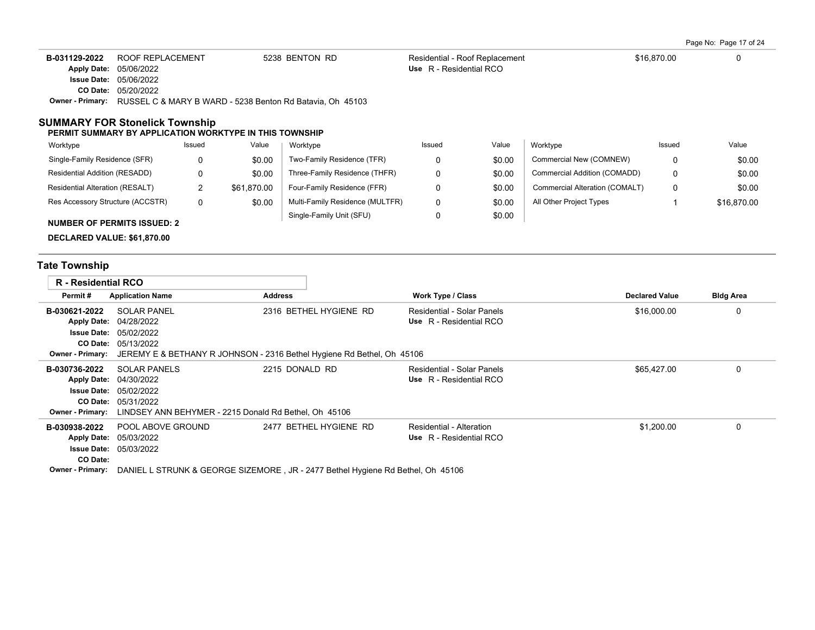Page No: Page 17 of 24

| B-031129-2022 | ROOF REPLACEMENT                                                                  | 5238 BENTON RD | Residential - Roof Replacement | \$16,870.00 |  |
|---------------|-----------------------------------------------------------------------------------|----------------|--------------------------------|-------------|--|
|               | Apply Date: 05/06/2022                                                            |                | Use R - Residential RCO        |             |  |
|               | <b>Issue Date: 05/06/2022</b>                                                     |                |                                |             |  |
|               | <b>CO Date: 05/20/2022</b>                                                        |                |                                |             |  |
|               | <b>Owner - Primary:</b> RUSSEL C & MARY B WARD - 5238 Benton Rd Batavia, Oh 45103 |                |                                |             |  |

### **SUMMARY FOR Stonelick Township**

#### **PERMIT SUMMARY BY APPLICATION WORKTYPE IN THIS TOWNSHIP**

| Worktype                           | Issued | Value       | Worktype                        | Issued | Value  | Worktype                       | Issued | Value       |
|------------------------------------|--------|-------------|---------------------------------|--------|--------|--------------------------------|--------|-------------|
| Single-Family Residence (SFR)      |        | \$0.00      | Two-Family Residence (TFR)      |        | \$0.00 | Commercial New (COMNEW)        |        | \$0.00      |
| Residential Addition (RESADD)      |        | \$0.00      | Three-Family Residence (THFR)   |        | \$0.00 | Commercial Addition (COMADD)   |        | \$0.00      |
| Residential Alteration (RESALT)    |        | \$61.870.00 | Four-Family Residence (FFR)     |        | \$0.00 | Commercial Alteration (COMALT) |        | \$0.00      |
| Res Accessory Structure (ACCSTR)   | 0      | \$0.00      | Multi-Family Residence (MULTFR) | 0      | \$0.00 | All Other Project Types        |        | \$16,870.00 |
|                                    |        |             | Single-Family Unit (SFU)        |        | \$0.00 |                                |        |             |
| <b>NUMBER OF PERMITS ISSUED: 2</b> |        |             |                                 |        |        |                                |        |             |

**DECLARED VALUE: \$61,870.00**

# **Tate Township**

| <b>R</b> - Residential RCO          |                                                                                                |                                                                                 |                                                     |                       |                  |
|-------------------------------------|------------------------------------------------------------------------------------------------|---------------------------------------------------------------------------------|-----------------------------------------------------|-----------------------|------------------|
| Permit#                             | <b>Application Name</b>                                                                        | <b>Address</b>                                                                  | <b>Work Type / Class</b>                            | <b>Declared Value</b> | <b>Bldg Area</b> |
| B-030621-2022                       | <b>SOLAR PANEL</b>                                                                             | 2316 BETHEL HYGIENE RD                                                          | <b>Residential - Solar Panels</b>                   | \$16,000.00           | 0                |
|                                     | Apply Date: 04/28/2022                                                                         |                                                                                 | Use R - Residential RCO                             |                       |                  |
| <b>Issue Date:</b>                  | 05/02/2022                                                                                     |                                                                                 |                                                     |                       |                  |
|                                     | <b>CO Date: 05/13/2022</b>                                                                     |                                                                                 |                                                     |                       |                  |
|                                     | <b>Owner - Primary:</b> JEREMY E & BETHANY R JOHNSON - 2316 Bethel Hygiene Rd Bethel, Oh 45106 |                                                                                 |                                                     |                       |                  |
| B-030736-2022                       | <b>SOLAR PANELS</b>                                                                            | 2215 DONALD RD                                                                  | Residential - Solar Panels                          | \$65,427.00           |                  |
|                                     | Apply Date: 04/30/2022                                                                         |                                                                                 | Use R - Residential RCO                             |                       |                  |
| <b>Issue Date:</b>                  | 05/02/2022                                                                                     |                                                                                 |                                                     |                       |                  |
|                                     | <b>CO Date: 05/31/2022</b>                                                                     |                                                                                 |                                                     |                       |                  |
| <b>Owner - Primary:</b>             | LINDSEY ANN BEHYMER - 2215 Donald Rd Bethel, Oh 45106                                          |                                                                                 |                                                     |                       |                  |
| B-030938-2022<br><b>Apply Date:</b> | POOL ABOVE GROUND<br>05/03/2022<br><b>Issue Date: 05/03/2022</b>                               | 2477 BETHEL HYGIENE RD                                                          | Residential - Alteration<br>Use R - Residential RCO | \$1,200.00            |                  |
| CO Date:                            |                                                                                                |                                                                                 |                                                     |                       |                  |
| <b>Owner - Primary:</b>             |                                                                                                | DANIEL L STRUNK & GEORGE SIZEMORE, JR - 2477 Bethel Hygiene Rd Bethel, Oh 45106 |                                                     |                       |                  |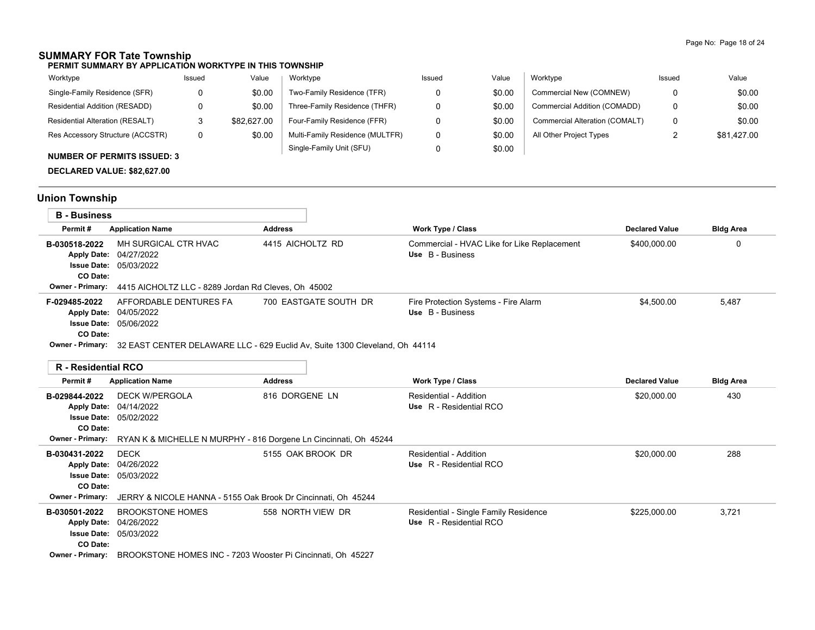# **SUMMARY FOR Tate Township**

**PERMIT SUMMARY BY APPLICATION WORKTYPE IN THIS TOWNSHIP**

| Worktype                               | Issued | Value       | Worktype                        | Issued | Value  | Worktype                       | Issued   | Value       |
|----------------------------------------|--------|-------------|---------------------------------|--------|--------|--------------------------------|----------|-------------|
| Single-Family Residence (SFR)          |        | \$0.00      | Two-Family Residence (TFR)      |        | \$0.00 | Commercial New (COMNEW)        |          | \$0.00      |
| Residential Addition (RESADD)          |        | \$0.00      | Three-Family Residence (THFR)   |        | \$0.00 | Commercial Addition (COMADD)   | 0        | \$0.00      |
| <b>Residential Alteration (RESALT)</b> |        | \$82,627.00 | Four-Family Residence (FFR)     |        | \$0.00 | Commercial Alteration (COMALT) | 0        | \$0.00      |
| Res Accessory Structure (ACCSTR)       |        | \$0.00      | Multi-Family Residence (MULTFR) |        | \$0.00 | All Other Project Types        | <u>.</u> | \$81.427.00 |
| $\ddot{ }$                             |        |             | Single-Family Unit (SFU)        |        | \$0.00 |                                |          |             |

# **NUMBER OF PERMITS ISSUED: 3**

**DECLARED VALUE: \$82,627.00**

# **Union Township**

| <b>B</b> - Business |                                                                                                                                                                                                                                                                                                                                                                                             |                  |                       |                                                                 |                       |                  |
|---------------------|---------------------------------------------------------------------------------------------------------------------------------------------------------------------------------------------------------------------------------------------------------------------------------------------------------------------------------------------------------------------------------------------|------------------|-----------------------|-----------------------------------------------------------------|-----------------------|------------------|
| Permit#             | <b>Application Name</b>                                                                                                                                                                                                                                                                                                                                                                     | <b>Address</b>   |                       | <b>Work Type / Class</b>                                        | <b>Declared Value</b> | <b>Bldg Area</b> |
| B-030518-2022       | MH SURGICAL CTR HVAC<br>Apply Date: 04/27/2022<br><b>Issue Date: 05/03/2022</b>                                                                                                                                                                                                                                                                                                             | 4415 AICHOLTZ RD |                       | Commercial - HVAC Like for Like Replacement<br>Use B - Business | \$400,000.00          | 0                |
| CO Date:            |                                                                                                                                                                                                                                                                                                                                                                                             |                  |                       |                                                                 |                       |                  |
|                     | <b>Owner - Primary:</b> 4415 AICHOLTZ LLC - 8289 Jordan Rd Cleves, Oh 45002                                                                                                                                                                                                                                                                                                                 |                  |                       |                                                                 |                       |                  |
| F-029485-2022       | AFFORDABLE DENTURES FA<br>Apply Date: 04/05/2022                                                                                                                                                                                                                                                                                                                                            |                  | 700 EASTGATE SOUTH DR | Fire Protection Systems - Fire Alarm<br>Use B - Business        | \$4.500.00            | 5,487            |
|                     | <b>Issue Date: 05/06/2022</b>                                                                                                                                                                                                                                                                                                                                                               |                  |                       |                                                                 |                       |                  |
| CO Date:            |                                                                                                                                                                                                                                                                                                                                                                                             |                  |                       |                                                                 |                       |                  |
|                     | $Q_{\text{max}}$ , $Q_{\text{max}}$ , $Q_{\text{max}}$ , $Q_{\text{max}}$ , $Q_{\text{max}}$ , $Q_{\text{max}}$ , $Q_{\text{max}}$ , $Q_{\text{max}}$ , $Q_{\text{max}}$ , $Q_{\text{max}}$ , $Q_{\text{max}}$ , $Q_{\text{max}}$ , $Q_{\text{max}}$ , $Q_{\text{max}}$ , $Q_{\text{max}}$ , $Q_{\text{max}}$ , $Q_{\text{max}}$ , $Q_{\text{max}}$ , $Q_{\text{max}}$ , $Q_{\text{max}}$ , |                  |                       |                                                                 |                       |                  |

**Owner - Primary:** 32 EAST CENTER DELAWARE LLC - 629 Euclid Av, Suite 1300 Cleveland, Oh 44114

## **R - Residential RCO**

| Permit#                 | <b>Application Name</b>                                       | <b>Address</b>                                                                           | <b>Work Type / Class</b>              | <b>Declared Value</b> | <b>Bldg Area</b> |  |  |  |  |  |
|-------------------------|---------------------------------------------------------------|------------------------------------------------------------------------------------------|---------------------------------------|-----------------------|------------------|--|--|--|--|--|
| B-029844-2022           | <b>DECK W/PERGOLA</b>                                         | 816 DORGENE LN                                                                           | Residential - Addition                | \$20,000.00           | 430              |  |  |  |  |  |
|                         | Apply Date: 04/14/2022                                        |                                                                                          | Use R - Residential RCO               |                       |                  |  |  |  |  |  |
|                         | <b>Issue Date: 05/02/2022</b>                                 |                                                                                          |                                       |                       |                  |  |  |  |  |  |
| CO Date:                |                                                               |                                                                                          |                                       |                       |                  |  |  |  |  |  |
|                         |                                                               | <b>Owner - Primary:</b> RYAN K & MICHELLE N MURPHY - 816 Dorgene Ln Cincinnati, Oh 45244 |                                       |                       |                  |  |  |  |  |  |
| B-030431-2022           | <b>DECK</b>                                                   | 5155 OAK BROOK DR                                                                        | Residential - Addition                | \$20,000.00           | 288              |  |  |  |  |  |
|                         | Apply Date: 04/26/2022                                        |                                                                                          | Use R - Residential RCO               |                       |                  |  |  |  |  |  |
|                         | <b>Issue Date: 05/03/2022</b>                                 |                                                                                          |                                       |                       |                  |  |  |  |  |  |
| CO Date:                |                                                               |                                                                                          |                                       |                       |                  |  |  |  |  |  |
| <b>Owner - Primary:</b> | JERRY & NICOLE HANNA - 5155 Oak Brook Dr Cincinnati, Oh 45244 |                                                                                          |                                       |                       |                  |  |  |  |  |  |
| B-030501-2022           | <b>BROOKSTONE HOMES</b>                                       | 558 NORTH VIEW DR                                                                        | Residential - Single Family Residence | \$225,000.00          | 3,721            |  |  |  |  |  |
|                         | Apply Date: 04/26/2022                                        |                                                                                          | Use R - Residential RCO               |                       |                  |  |  |  |  |  |
|                         | <b>Issue Date: 05/03/2022</b>                                 |                                                                                          |                                       |                       |                  |  |  |  |  |  |
| CO Date:                |                                                               |                                                                                          |                                       |                       |                  |  |  |  |  |  |
| <b>Owner - Primary:</b> | BROOKSTONE HOMES INC - 7203 Wooster Pi Cincinnati, Oh 45227   |                                                                                          |                                       |                       |                  |  |  |  |  |  |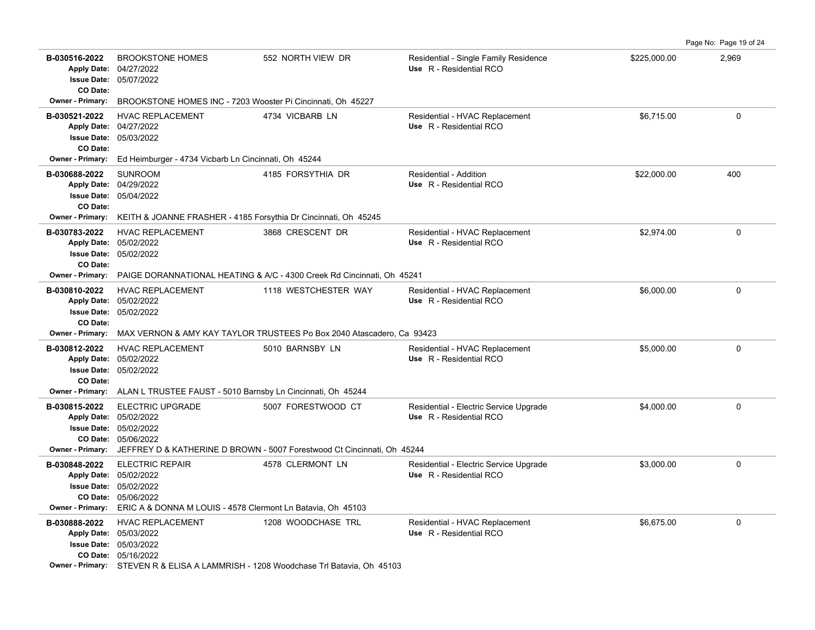B-030516-2022 BROOKSTONE HOMES 552 NORTH VIEW DR Residential - Single Family Residence \$225,000.00 2,969 8225,000 05/07/2022 **Issue Date:** Apply Date: 04/27/2022 **Apply Date: Use** R - Residential RCO **CO Date: Owner - Primary:** BROOKSTONE HOMES INC - 7203 Wooster Pi Cincinnati, Oh 45227 **B-030521-2022** HVAC REPLACEMENT 4734 VICBARB LN Residential - HVAC Replacement \$6,715.00 \$6,715.00 05/03/2022 **Issue Date:** 04/27/2022 **Apply Date: Use** R - Residential RCO **CO Date: Owner - Primary:** Ed Heimburger - 4734 Vicbarb Ln Cincinnati, Oh 45244 **B-030688-2022** \$22,000.00 400 05/04/2022 **Issue Date:** 04/29/2022 SUNROOM **4185 FORSYTHIA DR** Residential - Addition **Apply Date: Use** R - Residential RCO **CO Date: Owner - Primary:** KEITH & JOANNE FRASHER - 4185 Forsythia Dr Cincinnati, Oh 45245 **B-030783-2022** HVAC REPLACEMENT 3868 CRESCENT DR Residential - HVAC Replacement \$2,974.00 \$2,974.00 05/02/2022 **Issue Date:** Apply Date: 05/02/2022 **Apply Date: Use** R - Residential RCO **CO Date: Owner - Primary:** PAIGE DORANNATIONAL HEATING & A/C - 4300 Creek Rd Cincinnati, Oh 45241 **B-030810-2022** HVAC REPLACEMENT 1118 WESTCHESTER WAY Residential - HVAC Replacement \$6,000.00 \$6,000.00 0 05/02/2022 **Issue Date:** Apply Date: 05/02/2022 **Apply Date: Use** R - Residential RCO **CO Date: Owner - Primary:** MAX VERNON & AMY KAY TAYLOR TRUSTEES Po Box 2040 Atascadero, Ca 93423 **B-030812-2022** \$5,000.00 0 HVAC REPLACEMENT 5010 BARNSBY LN Residential - HVAC Replacement 05/02/2022 **Issue Date:** 05/02/2022 **Apply Date: Use** R - Residential RCO **CO Date: Owner - Primary:** ALAN L TRUSTEE FAUST - 5010 Barnsby Ln Cincinnati, Oh 45244 **B-030815-2022** ELECTRIC UPGRADE 5007 FORESTWOOD CT Residential - Electric Service Upgrade \$4,000.00 \$4,000.00 0 05/06/2022 **CO Date:** 05/02/2022 **Issue Date:** Apply Date: 05/02/2022 **Apply Date: Use** R - Residential RCO **Owner - Primary:** JEFFREY D & KATHERINE D BROWN - 5007 Forestwood Ct Cincinnati, Oh 45244 B-030848-2022 ELECTRIC REPAIR 4578 CLERMONT LN Residential - Electric Service Upgrade \$3,000.00 \$3,000.00 0 05/06/2022 **CO Date:** 05/02/2022 **Issue Date:** 05/02/2022 **Apply Date: Use** R - Residential RCO **Owner - Primary:** ERIC A & DONNA M LOUIS - 4578 Clermont Ln Batavia, Oh 45103 B-030888-2022 HVAC REPLACEMENT 1208 WOODCHASE TRL Residential - HVAC Replacement \$6,675.00 \$6,675.00 05/16/2022 **CO Date:** 05/03/2022 **Issue Date:** Apply Date: 05/03/2022 **Apply Date: Use** R - Residential RCO **Owner - Primary:** STEVEN R & ELISA A LAMMRISH - 1208 Woodchase Trl Batavia, Oh 45103

Page No: Page 19 of 24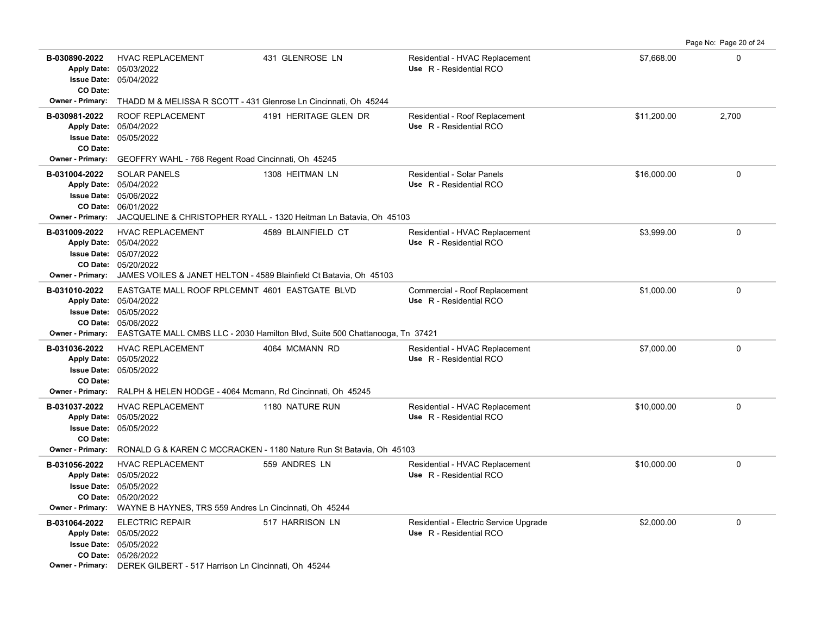**B-030890-2022** \$7,668.00 0 HVAC REPLACEMENT 431 GLENROSE LN Residential - HVAC Replacement 05/04/2022 **Issue Date:** Apply Date: 05/03/2022 **Apply Date: Use** R - Residential RCO **CO Date: Owner - Primary:** THADD M & MELISSA R SCOTT - 431 Glenrose Ln Cincinnati, Oh 45244 **B-030981-2022** \$11,200.00 2,700 ROOF REPLACEMENT 4191 HERITAGE GLEN DR Residential - Roof Replacement 05/05/2022 **Issue Date:** 05/04/2022 **Apply Date: Use** R - Residential RCO **CO Date: Owner - Primary:** GEOFFRY WAHL - 768 Regent Road Cincinnati, Oh 45245 **B-031004-2022** SOLAR PANELS 1308 HEITMAN LN Residential - Solar Panels \$16,000.00 0 06/01/2022 **CO Date:** 05/06/2022 **Issue Date:** 05/04/2022 **Apply Date: Use** R - Residential RCO SOLAR PANELS 1308 HEITMAN LN Residential - Solar Panels **Owner - Primary:** JACQUELINE & CHRISTOPHER RYALL - 1320 Heitman Ln Batavia, Oh 45103 **B-031009-2022** HVAC REPLACEMENT 4589 BLAINFIELD CT Residential - HVAC Replacement \$3,999.00 \$3,999.00 0 05/20/2022 **CO Date:** 05/07/2022 **Issue Date:** Apply Date: 05/04/2022 **Apply Date: Use** R - Residential RCO **Owner - Primary:** JAMES VOILES & JANET HELTON - 4589 Blainfield Ct Batavia, Oh 45103 **B-031010-2022** \$1,000.00 0 EASTGATE MALL ROOF RPLCEMNT 4601 EASTGATE BLVD Commercial - Roof Replacement 05/06/2022 **CO Date:** 05/05/2022 **Issue Date:** 05/04/2022 **Apply Date: Use** R - Residential RCO **Owner - Primary:** EASTGATE MALL CMBS LLC - 2030 Hamilton Blvd, Suite 500 Chattanooga, Tn 37421 **B-031036-2022** \$7,000.00 0 HVAC REPLACEMENT 4064 MCMANN RD Residential - HVAC Replacement 05/05/2022 **Issue Date:** Apply Date: 05/05/2022 **Apply Date: Use** R - Residential RCO **CO Date: Owner - Primary:** RALPH & HELEN HODGE - 4064 Mcmann, Rd Cincinnati, Oh 45245 **B-031037-2022** HVAC REPLACEMENT 1180 NATURE RUN Residential - HVAC Replacement \$10,000.00 \$10,000.00 0 05/05/2022 **Issue Date:** Apply Date: 05/05/2022 **Apply Date: Use** R - Residential RCO **CO Date: Owner - Primary:** RONALD G & KAREN C MCCRACKEN - 1180 Nature Run St Batavia, Oh 45103 **B-031056-2022** \$10,000.00 0 HVAC REPLACEMENT 559 ANDRES LN Residential - HVAC Replacement 05/20/2022 **CO Date:** 05/05/2022 **Issue Date:** 05/05/2022 **Apply Date: Use** R - Residential RCO **Owner - Primary:** WAYNE B HAYNES, TRS 559 Andres Ln Cincinnati, Oh 45244 **B-031064-2022** \$2,000.00 0 ELECTRIC REPAIR 517 HARRISON LN Residential - Electric Service Upgrade 05/26/2022 **CO Date:** 05/05/2022 **Issue Date:** Apply Date: 05/05/2022 **Apply Date: Use** R - Residential RCO **Owner - Primary:** DEREK GILBERT - 517 Harrison Ln Cincinnati, Oh 45244

Page No: Page 20 of 24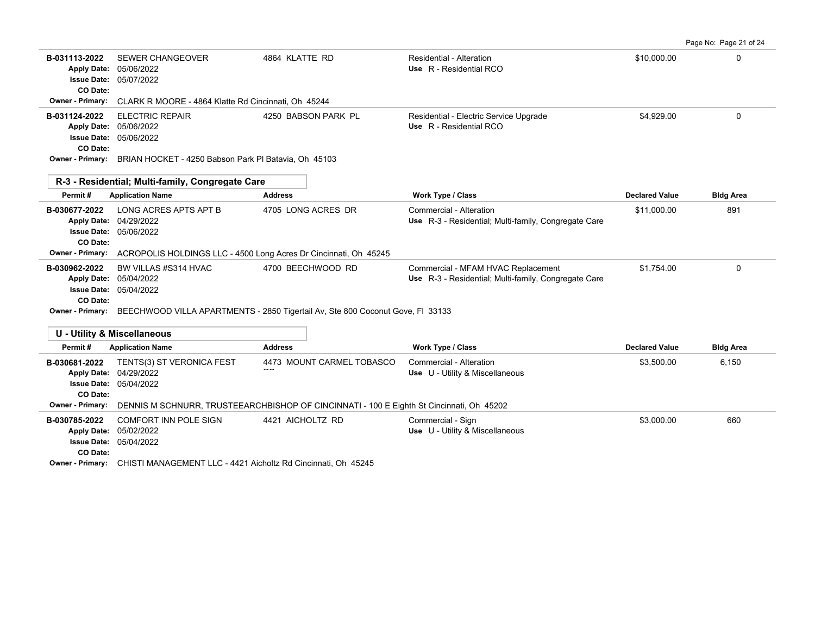Page No: Page 21 of 24

| B-031113-2022<br><b>Apply Date:</b><br><b>Issue Date:</b><br>CO Date: | <b>SEWER CHANGEOVER</b><br>05/06/2022<br>05/07/2022                                                                    | 4864 KLATTE RD                                                                                  | Residential - Alteration<br>Use R - Residential RCO                                        | \$10,000.00           | 0                |
|-----------------------------------------------------------------------|------------------------------------------------------------------------------------------------------------------------|-------------------------------------------------------------------------------------------------|--------------------------------------------------------------------------------------------|-----------------------|------------------|
| <b>Owner - Primary:</b>                                               | CLARK R MOORE - 4864 Klatte Rd Cincinnati, Oh 45244                                                                    |                                                                                                 |                                                                                            |                       |                  |
| B-031124-2022<br><b>Issue Date:</b><br>CO Date:<br>Owner - Primary:   | <b>ELECTRIC REPAIR</b><br>Apply Date: 05/06/2022<br>05/06/2022<br>BRIAN HOCKET - 4250 Babson Park PI Batavia, Oh 45103 | 4250 BABSON PARK PL                                                                             | Residential - Electric Service Upgrade<br>Use R - Residential RCO                          | \$4.929.00            | 0                |
|                                                                       |                                                                                                                        |                                                                                                 |                                                                                            |                       |                  |
| R-3 - Residential: Multi-family, Congregate Care                      |                                                                                                                        |                                                                                                 |                                                                                            |                       |                  |
| Permit#                                                               | <b>Application Name</b>                                                                                                | <b>Address</b>                                                                                  | Work Type / Class                                                                          | <b>Declared Value</b> | <b>Bldg Area</b> |
| B-030677-2022<br><b>Apply Date:</b><br><b>Issue Date:</b><br>CO Date: | LONG ACRES APTS APT B<br>04/29/2022<br>05/06/2022                                                                      | 4705 LONG ACRES DR                                                                              | Commercial - Alteration<br>Use R-3 - Residential; Multi-family, Congregate Care            | \$11,000.00           | 891              |
| Owner - Primary:                                                      | ACROPOLIS HOLDINGS LLC - 4500 Long Acres Dr Cincinnati, Oh 45245                                                       |                                                                                                 |                                                                                            |                       |                  |
| B-030962-2022<br><b>Apply Date:</b><br><b>Issue Date:</b>             | BW VILLAS #S314 HVAC<br>05/04/2022<br>05/04/2022                                                                       | 4700 BEECHWOOD RD                                                                               | Commercial - MFAM HVAC Replacement<br>Use R-3 - Residential; Multi-family, Congregate Care | \$1,754.00            | $\Omega$         |
| CO Date:                                                              |                                                                                                                        | Owner - Primary: BEECHWOOD VILLA APARTMENTS - 2850 Tigertail Av, Ste 800 Coconut Gove, FI 33133 |                                                                                            |                       |                  |
|                                                                       | <b>U - Utility &amp; Miscellaneous</b>                                                                                 |                                                                                                 |                                                                                            |                       |                  |
| Permit#                                                               | <b>Application Name</b>                                                                                                | <b>Address</b>                                                                                  | Work Type / Class                                                                          | <b>Declared Value</b> | <b>Bldg Area</b> |
| B-030681-2022<br><b>Apply Date:</b><br><b>Issue Date:</b><br>CO Date: | TENTS(3) ST VERONICA FEST<br>04/29/2022<br>05/04/2022                                                                  | 4473 MOUNT CARMEL TOBASCO                                                                       | Commercial - Alteration<br>Use U - Utility & Miscellaneous                                 | \$3,500.00            | 6.150            |
| Owner - Primary:                                                      |                                                                                                                        | DENNIS M SCHNURR, TRUSTEEARCHBISHOP OF CINCINNATI - 100 E Eighth St Cincinnati, Oh 45202        |                                                                                            |                       |                  |
| B-030785-2022<br><b>Apply Date:</b><br><b>Issue Date:</b><br>CO Date: | <b>COMFORT INN POLE SIGN</b><br>05/02/2022<br>05/04/2022                                                               | 4421 AICHOLTZ RD                                                                                | Commercial - Sign<br>Use U - Utility & Miscellaneous                                       | \$3,000.00            | 660              |

**Owner - Primary:** CHISTI MANAGEMENT LLC - 4421 Aicholtz Rd Cincinnati, Oh 45245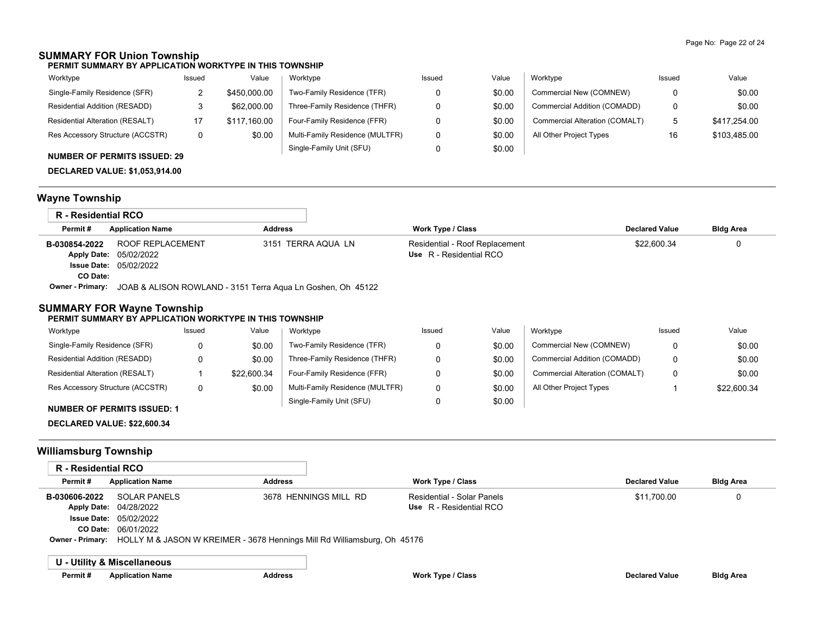## **SUMMARY FOR Union Township**

**PERMIT SUMMARY BY APPLICATION WORKTYPE IN THIS TOWNSHIP**

| Worktype                               | Issued | Value        | Worktype                        | Issued | Value  | Worktype                       | Issued | Value        |
|----------------------------------------|--------|--------------|---------------------------------|--------|--------|--------------------------------|--------|--------------|
| Single-Family Residence (SFR)          |        | \$450,000.00 | Two-Family Residence (TFR)      |        | \$0.00 | Commercial New (COMNEW)        | 0      | \$0.00       |
| Residential Addition (RESADD)          | ت      | \$62,000.00  | Three-Family Residence (THFR)   |        | \$0.00 | Commercial Addition (COMADD)   | 0      | \$0.00       |
| <b>Residential Alteration (RESALT)</b> |        | \$117.160.00 | Four-Family Residence (FFR)     |        | \$0.00 | Commercial Alteration (COMALT) | 5      | \$417.254.00 |
| Res Accessory Structure (ACCSTR)       | 0      | \$0.00       | Multi-Family Residence (MULTFR) |        | \$0.00 | All Other Project Types        | 16     | \$103,485.00 |
|                                        |        |              | Single-Family Unit (SFU)        |        | \$0.00 |                                |        |              |

## **NUMBER OF PERMITS ISSUED: 29**

**DECLARED VALUE: \$1,053,914.00**

# **Wayne Township**

| R - Residential RCO |                                                                                     |                    |                                |                       |                  |
|---------------------|-------------------------------------------------------------------------------------|--------------------|--------------------------------|-----------------------|------------------|
| Permit#             | <b>Application Name</b>                                                             | Address            | Work Type / Class              | <b>Declared Value</b> | <b>Bldg Area</b> |
| B-030854-2022       | ROOF REPLACEMENT                                                                    | 3151 TERRA AQUA LN | Residential - Roof Replacement | \$22,600.34           |                  |
|                     | <b>Apply Date: 05/02/2022</b>                                                       |                    | Use R - Residential RCO        |                       |                  |
|                     | <b>Issue Date: 05/02/2022</b>                                                       |                    |                                |                       |                  |
| CO Date:            |                                                                                     |                    |                                |                       |                  |
|                     | <b>Owner - Primary:</b> JOAB & ALISON ROWLAND - 3151 Terra Agua Ln Goshen, Oh 45122 |                    |                                |                       |                  |

## **SUMMARY FOR Wayne Township**

#### **PERMIT SUMMARY BY APPLICATION WORKTYPE IN THIS TOWNSHIP**

| Worktype                         | Issued | Value       | Worktype                        | Issued | Value  | Worktype                       | Issued | Value       |
|----------------------------------|--------|-------------|---------------------------------|--------|--------|--------------------------------|--------|-------------|
| Single-Family Residence (SFR)    |        | \$0.00      | Two-Family Residence (TFR)      |        | \$0.00 | Commercial New (COMNEW)        |        | \$0.00      |
| Residential Addition (RESADD)    |        | \$0.00      | Three-Family Residence (THFR)   |        | \$0.00 | Commercial Addition (COMADD)   |        | \$0.00      |
| Residential Alteration (RESALT)  |        | \$22.600.34 | Four-Family Residence (FFR)     |        | \$0.00 | Commercial Alteration (COMALT) |        | \$0.00      |
| Res Accessory Structure (ACCSTR) |        | \$0.00      | Multi-Family Residence (MULTFR) |        | \$0.00 | All Other Project Types        |        | \$22,600.34 |
|                                  |        |             | Single-Family Unit (SFU)        |        | \$0.00 |                                |        |             |

#### **NUMBER OF PERMITS ISSUED: 1**

**DECLARED VALUE: \$22,600.34**

# **Williamsburg Township**

| <b>R</b> - Residential RCO |                                                                          |                       |                            |                       |                  |
|----------------------------|--------------------------------------------------------------------------|-----------------------|----------------------------|-----------------------|------------------|
| Permit#                    | <b>Application Name</b><br><b>Address</b>                                |                       | <b>Work Type / Class</b>   | <b>Declared Value</b> | <b>Bldg Area</b> |
| B-030606-2022              | <b>SOLAR PANELS</b>                                                      | 3678 HENNINGS MILL RD | Residential - Solar Panels | \$11.700.00           | 0                |
|                            | Apply Date: 04/28/2022                                                   |                       | Use R - Residential RCO    |                       |                  |
|                            | <b>Issue Date: 05/02/2022</b>                                            |                       |                            |                       |                  |
| CO Date:                   | 06/01/2022                                                               |                       |                            |                       |                  |
| <b>Owner - Primary:</b>    | HOLLY M & JASON W KREIMER - 3678 Hennings Mill Rd Williamsburg, Oh 45176 |                       |                            |                       |                  |
|                            | U - Utility & Miscellaneous                                              |                       |                            |                       |                  |
|                            |                                                                          |                       |                            |                       |                  |
| Permit#                    | <b>Application Name</b>                                                  | <b>Address</b>        | Work Type / Class          | <b>Declared Value</b> | <b>Bldg Area</b> |
|                            |                                                                          |                       |                            |                       |                  |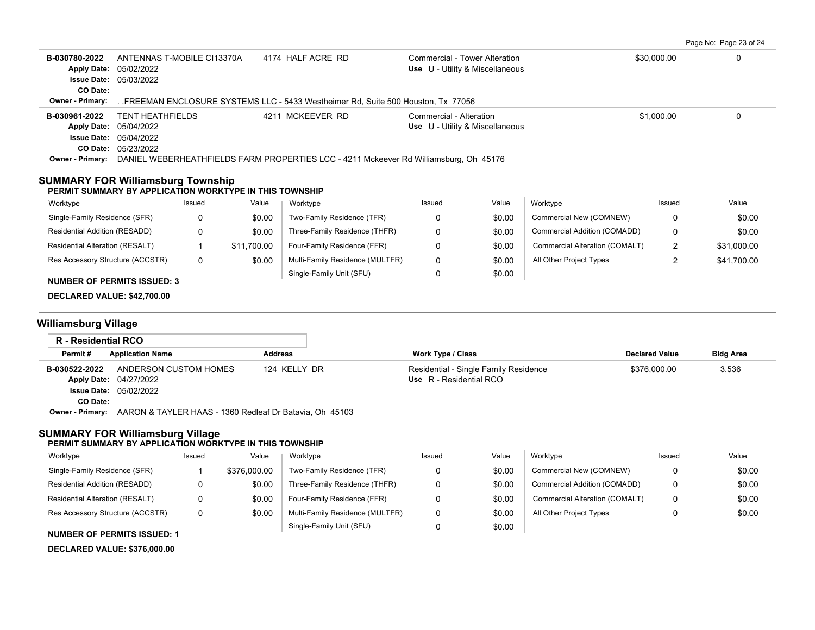|            | Page No: Page 23 of 24 |  |
|------------|------------------------|--|
| man non no |                        |  |

| B-030780-2022<br><b>Apply Date:</b><br><b>Issue Date:</b>                                           | 4174 HALF ACRE RD<br>ANTENNAS T-MOBILE CI13370A<br>05/02/2022<br>05/03/2022                                       |          |             | Commercial - Tower Alteration<br>Use U - Utility & Miscellaneous                      |                                                            |        | \$30,000.00                    |            |             |
|-----------------------------------------------------------------------------------------------------|-------------------------------------------------------------------------------------------------------------------|----------|-------------|---------------------------------------------------------------------------------------|------------------------------------------------------------|--------|--------------------------------|------------|-------------|
| CO Date:<br><b>Owner - Primary:</b>                                                                 |                                                                                                                   |          |             | FREEMAN ENCLOSURE SYSTEMS LLC - 5433 Westheimer Rd, Suite 500 Houston, Tx 77056       |                                                            |        |                                |            |             |
| B-030961-2022<br><b>Apply Date:</b>                                                                 | 4211 MCKEEVER RD<br><b>TENT HEATHFIELDS</b><br>05/04/2022<br><b>Issue Date: 05/04/2022</b><br>CO Date: 05/23/2022 |          |             |                                                                                       | Commercial - Alteration<br>Use U - Utility & Miscellaneous |        |                                | \$1,000.00 | $\Omega$    |
| <b>Owner - Primary:</b>                                                                             |                                                                                                                   |          |             | DANIEL WEBERHEATHFIELDS FARM PROPERTIES LCC - 4211 Mckeever Rd Williamsburg, Oh 45176 |                                                            |        |                                |            |             |
| <b>SUMMARY FOR Williamsburg Township</b><br>PERMIT SUMMARY BY APPLICATION WORKTYPE IN THIS TOWNSHIP |                                                                                                                   |          |             |                                                                                       |                                                            |        |                                |            |             |
| Worktype                                                                                            |                                                                                                                   | Issued   | Value       | Worktype                                                                              | Issued                                                     | Value  | Worktype                       | Issued     | Value       |
| Single-Family Residence (SFR)                                                                       |                                                                                                                   | $\Omega$ | \$0.00      | Two-Family Residence (TFR)                                                            | $\Omega$                                                   | \$0.00 | Commercial New (COMNEW)        | 0          | \$0.00      |
| Residential Addition (RESADD)                                                                       |                                                                                                                   | 0        | \$0.00      | Three-Family Residence (THFR)                                                         | 0                                                          | \$0.00 | Commercial Addition (COMADD)   | 0          | \$0.00      |
| Residential Alteration (RESALT)                                                                     |                                                                                                                   |          | \$11,700.00 | Four-Family Residence (FFR)                                                           | 0                                                          | \$0.00 | Commercial Alteration (COMALT) | 2          | \$31,000.00 |
| Res Accessory Structure (ACCSTR)                                                                    |                                                                                                                   | 0        | \$0.00      | Multi-Family Residence (MULTFR)                                                       | 0                                                          | \$0.00 | All Other Project Types        | 2          | \$41,700.00 |
| <b>NUMBER OF PERMITS ISSUED: 3</b><br>DECLARED VALUE: \$42,700.00                                   |                                                                                                                   |          |             | Single-Family Unit (SFU)                                                              | 0                                                          | \$0.00 |                                |            |             |
|                                                                                                     |                                                                                                                   |          |             |                                                                                       |                                                            |        |                                |            |             |
| <b>Williamsburg Village</b><br><b>D.</b> Dealdeath DOO                                              |                                                                                                                   |          |             |                                                                                       |                                                            |        |                                |            |             |

| R - Residential RCO |                                                         |                |                                                                  |                       |                  |
|---------------------|---------------------------------------------------------|----------------|------------------------------------------------------------------|-----------------------|------------------|
| Permit#             | <b>Application Name</b>                                 | <b>Address</b> | Work Type / Class                                                | <b>Declared Value</b> | <b>Bldg Area</b> |
| B-030522-2022       | ANDERSON CUSTOM HOMES<br>Apply Date: 04/27/2022         | 124 KELLY DR   | Residential - Single Family Residence<br>Use R - Residential RCO | \$376,000.00          | 3,536            |
|                     | <b>Issue Date: 05/02/2022</b>                           |                |                                                                  |                       |                  |
| CO Date:            |                                                         |                |                                                                  |                       |                  |
| Owner - Primary:    | AARON & TAYLER HAAS - 1360 Redleaf Dr Batavia, Oh 45103 |                |                                                                  |                       |                  |

#### **SUMMARY FOR Williamsburg Village PERMIT SUMMARY BY APPLICATION WORKTYPE IN THIS TOWNSHIP**

| Worktype                           | Issued | Value        | Worktype                        | Issued | Value  | Worktype                       | Issued | Value  |
|------------------------------------|--------|--------------|---------------------------------|--------|--------|--------------------------------|--------|--------|
| Single-Family Residence (SFR)      |        | \$376,000.00 | Two-Family Residence (TFR)      |        | \$0.00 | Commercial New (COMNEW)        |        | \$0.00 |
| Residential Addition (RESADD)      |        | \$0.00       | Three-Family Residence (THFR)   |        | \$0.00 | Commercial Addition (COMADD)   |        | \$0.00 |
| Residential Alteration (RESALT)    |        | \$0.00       | Four-Family Residence (FFR)     |        | \$0.00 | Commercial Alteration (COMALT) | 0      | \$0.00 |
| Res Accessory Structure (ACCSTR)   | 0      | \$0.00       | Multi-Family Residence (MULTFR) |        | \$0.00 | All Other Project Types        | 0      | \$0.00 |
| <b>NUMBER OF PERMITS ISSUED: 1</b> |        |              | Single-Family Unit (SFU)        |        | \$0.00 |                                |        |        |

## **DECLARED VALUE: \$376,000.00**